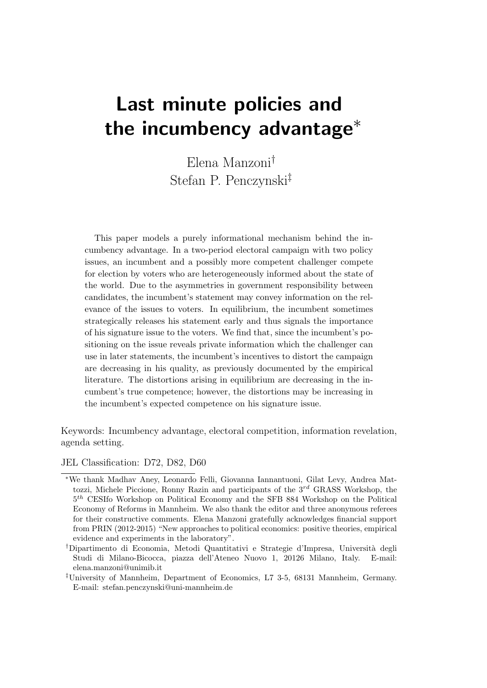# Last minute policies and the incumbency advantage<sup>∗</sup>

Elena Manzoni† Stefan P. Penczynski‡

This paper models a purely informational mechanism behind the incumbency advantage. In a two-period electoral campaign with two policy issues, an incumbent and a possibly more competent challenger compete for election by voters who are heterogeneously informed about the state of the world. Due to the asymmetries in government responsibility between candidates, the incumbent's statement may convey information on the relevance of the issues to voters. In equilibrium, the incumbent sometimes strategically releases his statement early and thus signals the importance of his signature issue to the voters. We find that, since the incumbent's positioning on the issue reveals private information which the challenger can use in later statements, the incumbent's incentives to distort the campaign are decreasing in his quality, as previously documented by the empirical literature. The distortions arising in equilibrium are decreasing in the incumbent's true competence; however, the distortions may be increasing in the incumbent's expected competence on his signature issue.

Keywords: Incumbency advantage, electoral competition, information revelation, agenda setting.

JEL Classification: D72, D82, D60

<sup>∗</sup>We thank Madhav Aney, Leonardo Felli, Giovanna Iannantuoni, Gilat Levy, Andrea Mattozzi, Michele Piccione, Ronny Razin and participants of the  $3^{rd}$  GRASS Workshop, the  $5<sup>th</sup>$  CESIfo Workshop on Political Economy and the SFB 884 Workshop on the Political Economy of Reforms in Mannheim. We also thank the editor and three anonymous referees for their constructive comments. Elena Manzoni gratefully acknowledges financial support from PRIN (2012-2015) "New approaches to political economics: positive theories, empirical evidence and experiments in the laboratory".

<sup>†</sup>Dipartimento di Economia, Metodi Quantitativi e Strategie d'Impresa, Universit`a degli Studi di Milano-Bicocca, piazza dell'Ateneo Nuovo 1, 20126 Milano, Italy. E-mail: elena.manzoni@unimib.it

<sup>‡</sup>University of Mannheim, Department of Economics, L7 3-5, 68131 Mannheim, Germany. E-mail: stefan.penczynski@uni-mannheim.de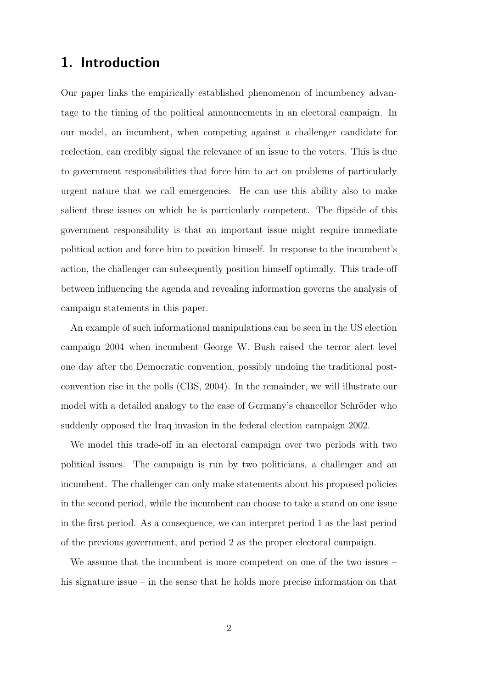# 1. Introduction

Our paper links the empirically established phenomenon of incumbency advantage to the timing of the political announcements in an electoral campaign. In our model, an incumbent, when competing against a challenger candidate for reelection, can credibly signal the relevance of an issue to the voters. This is due to government responsibilities that force him to act on problems of particularly urgent nature that we call emergencies. He can use this ability also to make salient those issues on which he is particularly competent. The flipside of this government responsibility is that an important issue might require immediate political action and force him to position himself. In response to the incumbent's action, the challenger can subsequently position himself optimally. This trade-off between influencing the agenda and revealing information governs the analysis of campaign statements in this paper.

An example of such informational manipulations can be seen in the US election campaign 2004 when incumbent George W. Bush raised the terror alert level one day after the Democratic convention, possibly undoing the traditional postconvention rise in the polls (CBS, 2004). In the remainder, we will illustrate our model with a detailed analogy to the case of Germany's chancellor Schröder who suddenly opposed the Iraq invasion in the federal election campaign 2002.

We model this trade-off in an electoral campaign over two periods with two political issues. The campaign is run by two politicians, a challenger and an incumbent. The challenger can only make statements about his proposed policies in the second period, while the incumbent can choose to take a stand on one issue in the first period. As a consequence, we can interpret period 1 as the last period of the previous government, and period 2 as the proper electoral campaign.

We assume that the incumbent is more competent on one of the two issues – his signature issue – in the sense that he holds more precise information on that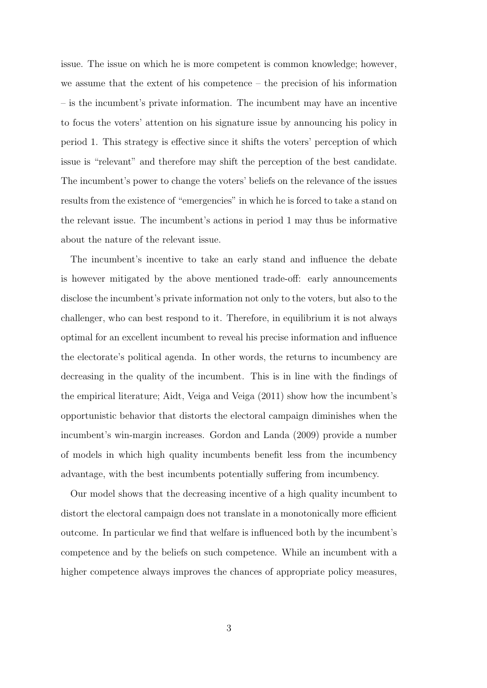issue. The issue on which he is more competent is common knowledge; however, we assume that the extent of his competence – the precision of his information – is the incumbent's private information. The incumbent may have an incentive to focus the voters' attention on his signature issue by announcing his policy in period 1. This strategy is effective since it shifts the voters' perception of which issue is "relevant" and therefore may shift the perception of the best candidate. The incumbent's power to change the voters' beliefs on the relevance of the issues results from the existence of "emergencies" in which he is forced to take a stand on the relevant issue. The incumbent's actions in period 1 may thus be informative about the nature of the relevant issue.

The incumbent's incentive to take an early stand and influence the debate is however mitigated by the above mentioned trade-off: early announcements disclose the incumbent's private information not only to the voters, but also to the challenger, who can best respond to it. Therefore, in equilibrium it is not always optimal for an excellent incumbent to reveal his precise information and influence the electorate's political agenda. In other words, the returns to incumbency are decreasing in the quality of the incumbent. This is in line with the findings of the empirical literature; Aidt, Veiga and Veiga (2011) show how the incumbent's opportunistic behavior that distorts the electoral campaign diminishes when the incumbent's win-margin increases. Gordon and Landa (2009) provide a number of models in which high quality incumbents benefit less from the incumbency advantage, with the best incumbents potentially suffering from incumbency.

Our model shows that the decreasing incentive of a high quality incumbent to distort the electoral campaign does not translate in a monotonically more efficient outcome. In particular we find that welfare is influenced both by the incumbent's competence and by the beliefs on such competence. While an incumbent with a higher competence always improves the chances of appropriate policy measures,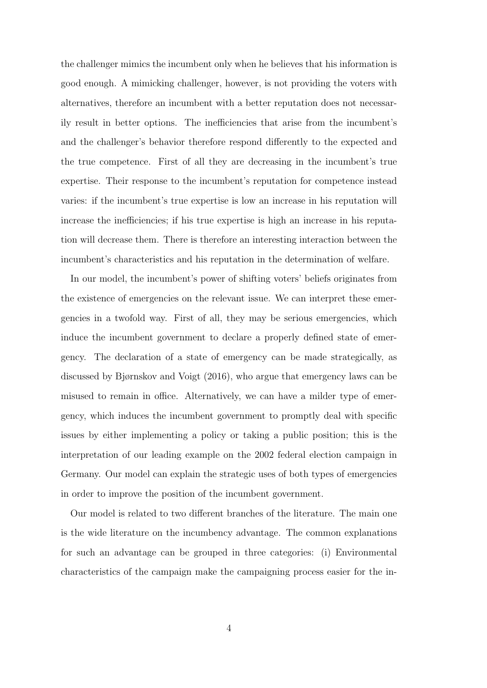the challenger mimics the incumbent only when he believes that his information is good enough. A mimicking challenger, however, is not providing the voters with alternatives, therefore an incumbent with a better reputation does not necessarily result in better options. The inefficiencies that arise from the incumbent's and the challenger's behavior therefore respond differently to the expected and the true competence. First of all they are decreasing in the incumbent's true expertise. Their response to the incumbent's reputation for competence instead varies: if the incumbent's true expertise is low an increase in his reputation will increase the inefficiencies; if his true expertise is high an increase in his reputation will decrease them. There is therefore an interesting interaction between the incumbent's characteristics and his reputation in the determination of welfare.

In our model, the incumbent's power of shifting voters' beliefs originates from the existence of emergencies on the relevant issue. We can interpret these emergencies in a twofold way. First of all, they may be serious emergencies, which induce the incumbent government to declare a properly defined state of emergency. The declaration of a state of emergency can be made strategically, as discussed by Bjørnskov and Voigt (2016), who argue that emergency laws can be misused to remain in office. Alternatively, we can have a milder type of emergency, which induces the incumbent government to promptly deal with specific issues by either implementing a policy or taking a public position; this is the interpretation of our leading example on the 2002 federal election campaign in Germany. Our model can explain the strategic uses of both types of emergencies in order to improve the position of the incumbent government.

Our model is related to two different branches of the literature. The main one is the wide literature on the incumbency advantage. The common explanations for such an advantage can be grouped in three categories: (i) Environmental characteristics of the campaign make the campaigning process easier for the in-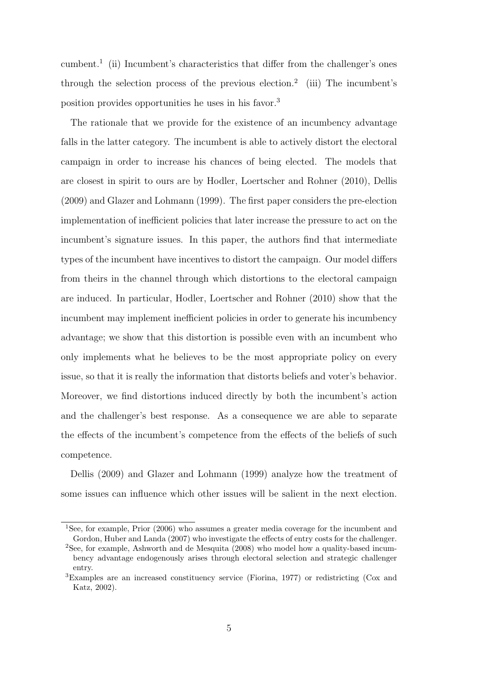cumbent.<sup>1</sup> (ii) Incumbent's characteristics that differ from the challenger's ones through the selection process of the previous election.<sup>2</sup> (iii) The incumbent's position provides opportunities he uses in his favor.<sup>3</sup>

The rationale that we provide for the existence of an incumbency advantage falls in the latter category. The incumbent is able to actively distort the electoral campaign in order to increase his chances of being elected. The models that are closest in spirit to ours are by Hodler, Loertscher and Rohner (2010), Dellis (2009) and Glazer and Lohmann (1999). The first paper considers the pre-election implementation of inefficient policies that later increase the pressure to act on the incumbent's signature issues. In this paper, the authors find that intermediate types of the incumbent have incentives to distort the campaign. Our model differs from theirs in the channel through which distortions to the electoral campaign are induced. In particular, Hodler, Loertscher and Rohner (2010) show that the incumbent may implement inefficient policies in order to generate his incumbency advantage; we show that this distortion is possible even with an incumbent who only implements what he believes to be the most appropriate policy on every issue, so that it is really the information that distorts beliefs and voter's behavior. Moreover, we find distortions induced directly by both the incumbent's action and the challenger's best response. As a consequence we are able to separate the effects of the incumbent's competence from the effects of the beliefs of such competence.

Dellis (2009) and Glazer and Lohmann (1999) analyze how the treatment of some issues can influence which other issues will be salient in the next election.

<sup>&</sup>lt;sup>1</sup>See, for example, Prior (2006) who assumes a greater media coverage for the incumbent and Gordon, Huber and Landa (2007) who investigate the effects of entry costs for the challenger.

<sup>2</sup>See, for example, Ashworth and de Mesquita (2008) who model how a quality-based incumbency advantage endogenously arises through electoral selection and strategic challenger entry.

<sup>3</sup>Examples are an increased constituency service (Fiorina, 1977) or redistricting (Cox and Katz, 2002).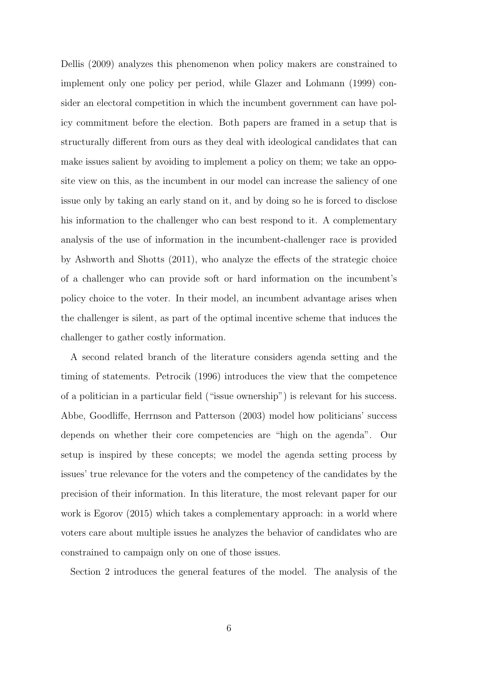Dellis (2009) analyzes this phenomenon when policy makers are constrained to implement only one policy per period, while Glazer and Lohmann (1999) consider an electoral competition in which the incumbent government can have policy commitment before the election. Both papers are framed in a setup that is structurally different from ours as they deal with ideological candidates that can make issues salient by avoiding to implement a policy on them; we take an opposite view on this, as the incumbent in our model can increase the saliency of one issue only by taking an early stand on it, and by doing so he is forced to disclose his information to the challenger who can best respond to it. A complementary analysis of the use of information in the incumbent-challenger race is provided by Ashworth and Shotts (2011), who analyze the effects of the strategic choice of a challenger who can provide soft or hard information on the incumbent's policy choice to the voter. In their model, an incumbent advantage arises when the challenger is silent, as part of the optimal incentive scheme that induces the challenger to gather costly information.

A second related branch of the literature considers agenda setting and the timing of statements. Petrocik (1996) introduces the view that the competence of a politician in a particular field ("issue ownership") is relevant for his success. Abbe, Goodliffe, Herrnson and Patterson (2003) model how politicians' success depends on whether their core competencies are "high on the agenda". Our setup is inspired by these concepts; we model the agenda setting process by issues' true relevance for the voters and the competency of the candidates by the precision of their information. In this literature, the most relevant paper for our work is Egorov (2015) which takes a complementary approach: in a world where voters care about multiple issues he analyzes the behavior of candidates who are constrained to campaign only on one of those issues.

Section 2 introduces the general features of the model. The analysis of the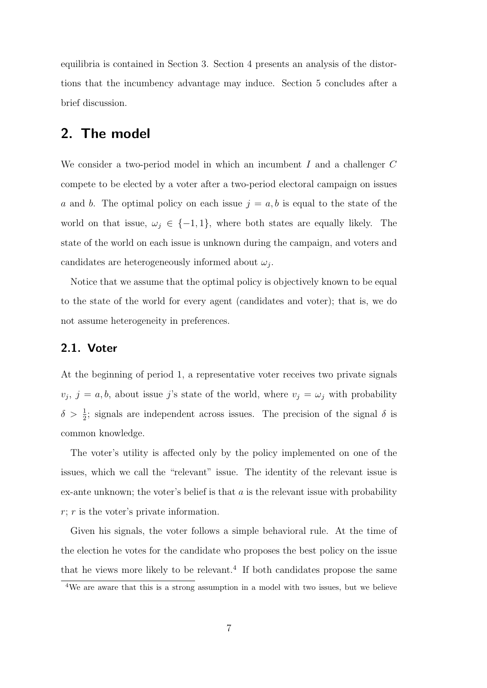equilibria is contained in Section 3. Section 4 presents an analysis of the distortions that the incumbency advantage may induce. Section 5 concludes after a brief discussion.

# 2. The model

We consider a two-period model in which an incumbent I and a challenger C compete to be elected by a voter after a two-period electoral campaign on issues a and b. The optimal policy on each issue  $j = a, b$  is equal to the state of the world on that issue,  $\omega_j \in \{-1, 1\}$ , where both states are equally likely. The state of the world on each issue is unknown during the campaign, and voters and candidates are heterogeneously informed about  $\omega_j$ .

Notice that we assume that the optimal policy is objectively known to be equal to the state of the world for every agent (candidates and voter); that is, we do not assume heterogeneity in preferences.

#### 2.1. Voter

At the beginning of period 1, a representative voter receives two private signals  $v_j, j = a, b$ , about issue j's state of the world, where  $v_j = \omega_j$  with probability  $\delta > \frac{1}{2}$ ; signals are independent across issues. The precision of the signal  $\delta$  is common knowledge.

The voter's utility is affected only by the policy implemented on one of the issues, which we call the "relevant" issue. The identity of the relevant issue is ex-ante unknown; the voter's belief is that  $a$  is the relevant issue with probability  $r; r$  is the voter's private information.

Given his signals, the voter follows a simple behavioral rule. At the time of the election he votes for the candidate who proposes the best policy on the issue that he views more likely to be relevant.<sup>4</sup> If both candidates propose the same

<sup>4</sup>We are aware that this is a strong assumption in a model with two issues, but we believe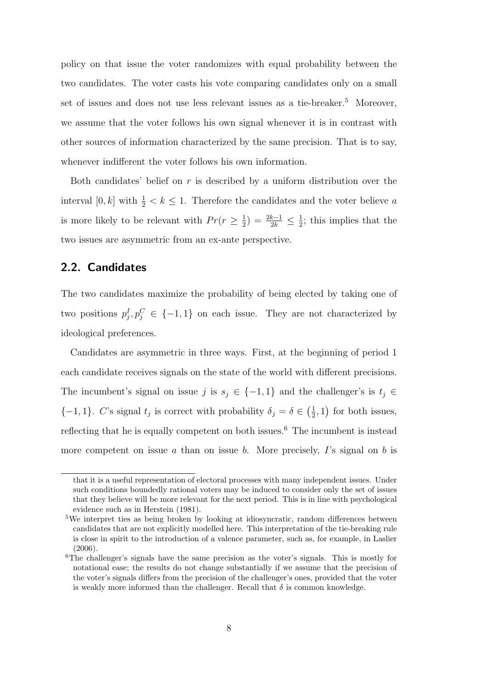policy on that issue the voter randomizes with equal probability between the two candidates. The voter casts his vote comparing candidates only on a small set of issues and does not use less relevant issues as a tie-breaker.<sup>5</sup> Moreover, we assume that the voter follows his own signal whenever it is in contrast with other sources of information characterized by the same precision. That is to say, whenever indifferent the voter follows his own information.

Both candidates' belief on  $r$  is described by a uniform distribution over the interval  $[0, k]$  with  $\frac{1}{2} < k \leq 1$ . Therefore the candidates and the voter believe a is more likely to be relevant with  $Pr(r \geq \frac{1}{2})$  $(\frac{1}{2}) = \frac{2k-1}{2k} \leq \frac{1}{2}$  $\frac{1}{2}$ ; this implies that the two issues are asymmetric from an ex-ante perspective.

#### 2.2. Candidates

The two candidates maximize the probability of being elected by taking one of two positions  $p_j^I, p_j^C \in \{-1, 1\}$  on each issue. They are not characterized by ideological preferences.

Candidates are asymmetric in three ways. First, at the beginning of period 1 each candidate receives signals on the state of the world with different precisions. The incumbent's signal on issue j is  $s_j \in \{-1,1\}$  and the challenger's is  $t_j \in$  $\{-1,1\}$ . C's signal  $t_j$  is correct with probability  $\delta_j = \delta \in \left(\frac{1}{2}\right)$  $(\frac{1}{2}, 1)$  for both issues, reflecting that he is equally competent on both issues.<sup>6</sup> The incumbent is instead more competent on issue a than on issue b. More precisely,  $I$ 's signal on b is

that it is a useful representation of electoral processes with many independent issues. Under such conditions boundedly rational voters may be induced to consider only the set of issues that they believe will be more relevant for the next period. This is in line with psychological evidence such as in Herstein (1981).

<sup>5</sup>We interpret ties as being broken by looking at idiosyncratic, random differences between candidates that are not explicitly modelled here. This interpretation of the tie-breaking rule is close in spirit to the introduction of a valence parameter, such as, for example, in Laslier (2006).

<sup>6</sup>The challenger's signals have the same precision as the voter's signals. This is mostly for notational ease; the results do not change substantially if we assume that the precision of the voter's signals differs from the precision of the challenger's ones, provided that the voter is weakly more informed than the challenger. Recall that  $\delta$  is common knowledge.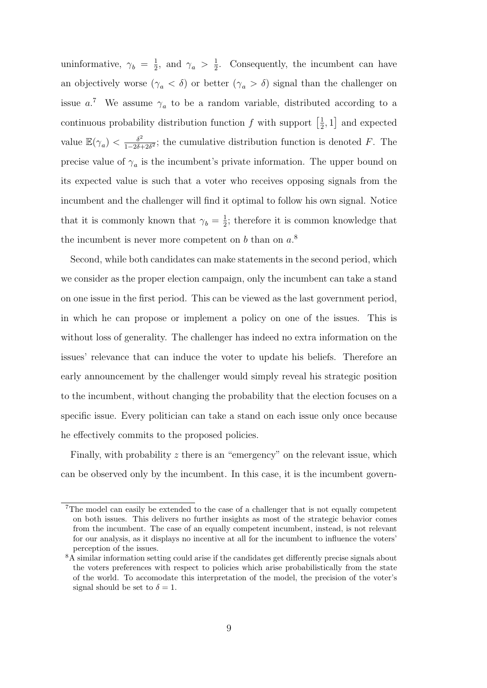uninformative,  $\gamma_b = \frac{1}{2}$  $\frac{1}{2}$ , and  $\gamma_a > \frac{1}{2}$  $\frac{1}{2}$ . Consequently, the incumbent can have an objectively worse  $(\gamma_a < \delta)$  or better  $(\gamma_a > \delta)$  signal than the challenger on issue  $a^7$ . We assume  $\gamma_a$  to be a random variable, distributed according to a continuous probability distribution function f with support  $\left[\frac{1}{2}\right]$  $\frac{1}{2}$ , 1] and expected value  $\mathbb{E}(\gamma_a) < \frac{\delta^2}{1-2\delta^4}$  $\frac{\delta^2}{1-2\delta+2\delta^2}$ ; the cumulative distribution function is denoted F. The precise value of  $\gamma_a$  is the incumbent's private information. The upper bound on its expected value is such that a voter who receives opposing signals from the incumbent and the challenger will find it optimal to follow his own signal. Notice that it is commonly known that  $\gamma_b = \frac{1}{2}$  $\frac{1}{2}$ ; therefore it is common knowledge that the incumbent is never more competent on b than on  $a$ <sup>8</sup>.

Second, while both candidates can make statements in the second period, which we consider as the proper election campaign, only the incumbent can take a stand on one issue in the first period. This can be viewed as the last government period, in which he can propose or implement a policy on one of the issues. This is without loss of generality. The challenger has indeed no extra information on the issues' relevance that can induce the voter to update his beliefs. Therefore an early announcement by the challenger would simply reveal his strategic position to the incumbent, without changing the probability that the election focuses on a specific issue. Every politician can take a stand on each issue only once because he effectively commits to the proposed policies.

Finally, with probability  $z$  there is an "emergency" on the relevant issue, which can be observed only by the incumbent. In this case, it is the incumbent govern-

<sup>7</sup>The model can easily be extended to the case of a challenger that is not equally competent on both issues. This delivers no further insights as most of the strategic behavior comes from the incumbent. The case of an equally competent incumbent, instead, is not relevant for our analysis, as it displays no incentive at all for the incumbent to influence the voters' perception of the issues.

<sup>&</sup>lt;sup>8</sup>A similar information setting could arise if the candidates get differently precise signals about the voters preferences with respect to policies which arise probabilistically from the state of the world. To accomodate this interpretation of the model, the precision of the voter's signal should be set to  $\delta = 1$ .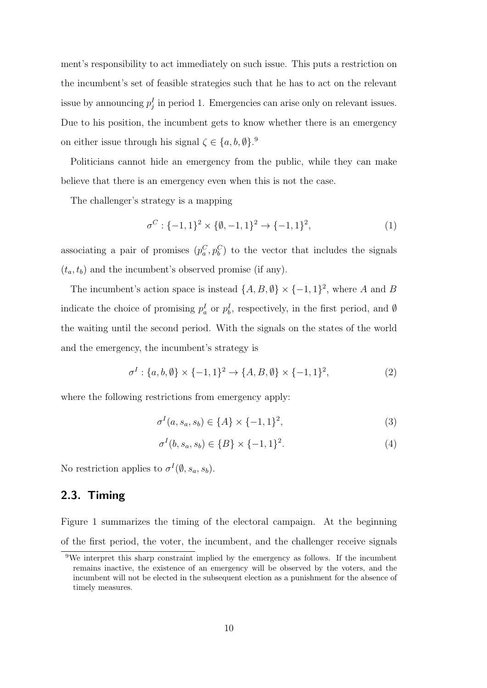ment's responsibility to act immediately on such issue. This puts a restriction on the incumbent's set of feasible strategies such that he has to act on the relevant issue by announcing  $p_j^I$  in period 1. Emergencies can arise only on relevant issues. Due to his position, the incumbent gets to know whether there is an emergency on either issue through his signal  $\zeta \in \{a, b, \emptyset\}$ .

Politicians cannot hide an emergency from the public, while they can make believe that there is an emergency even when this is not the case.

The challenger's strategy is a mapping

$$
\sigma^C: \{-1, 1\}^2 \times \{\emptyset, -1, 1\}^2 \to \{-1, 1\}^2,\tag{1}
$$

associating a pair of promises  $(p_a^C, p_b^C)$  to the vector that includes the signals  $(t_a, t_b)$  and the incumbent's observed promise (if any).

The incumbent's action space is instead  $\{A, B, \emptyset\} \times \{-1, 1\}^2$ , where A and B indicate the choice of promising  $p_a^I$  or  $p_b^I$ , respectively, in the first period, and Ø the waiting until the second period. With the signals on the states of the world and the emergency, the incumbent's strategy is

$$
\sigma^{I} : \{a, b, \emptyset\} \times \{-1, 1\}^{2} \to \{A, B, \emptyset\} \times \{-1, 1\}^{2},
$$
\n(2)

where the following restrictions from emergency apply:

$$
\sigma^{I}(a, s_{a}, s_{b}) \in \{A\} \times \{-1, 1\}^{2}, \tag{3}
$$

$$
\sigma^{I}(b, s_{a}, s_{b}) \in \{B\} \times \{-1, 1\}^{2}.
$$
\n(4)

No restriction applies to  $\sigma^I(\emptyset, s_a, s_b)$ .

### 2.3. Timing

Figure 1 summarizes the timing of the electoral campaign. At the beginning of the first period, the voter, the incumbent, and the challenger receive signals

<sup>9</sup>We interpret this sharp constraint implied by the emergency as follows. If the incumbent remains inactive, the existence of an emergency will be observed by the voters, and the incumbent will not be elected in the subsequent election as a punishment for the absence of timely measures.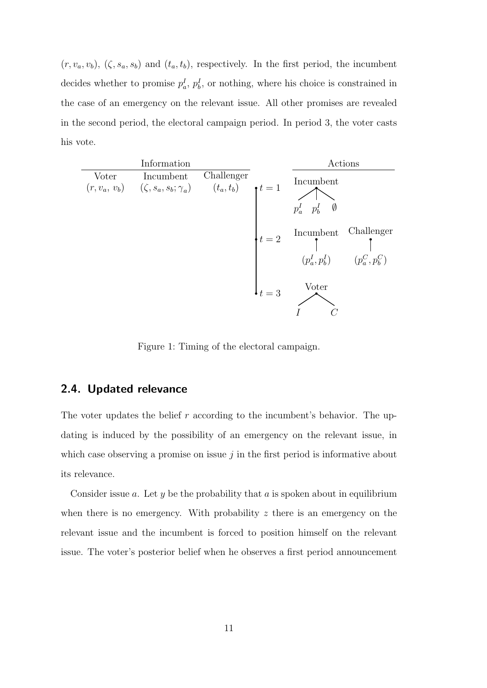$(r, v_a, v_b)$ ,  $(\zeta, s_a, s_b)$  and  $(t_a, t_b)$ , respectively. In the first period, the incumbent decides whether to promise  $p_a^I$ ,  $p_b^I$ , or nothing, where his choice is constrained in the case of an emergency on the relevant issue. All other promises are revealed in the second period, the electoral campaign period. In period 3, the voter casts his vote.

| Information |                                                                                                                              |            |               | Actions                                  |                                |
|-------------|------------------------------------------------------------------------------------------------------------------------------|------------|---------------|------------------------------------------|--------------------------------|
| Voter       | Incumbent<br>$(r, v_a,\, v_b) \qquad (\zeta, s_a, s_b; \gamma_a) \qquad \  \  (t_a, t_b) \qquad \mathord{\uparrow} \, t = 1$ | Challenger |               | Incumbent<br>$p_a^I$ $p_b^I$ $\emptyset$ |                                |
|             |                                                                                                                              |            | $t=2$         | Incumbent<br>$(p_a^I, p_b^I)$            | Challenger<br>$(p_a^C, p_b^C)$ |
|             |                                                                                                                              |            | $\cdot t = 3$ | Voter                                    |                                |

Figure 1: Timing of the electoral campaign.

#### 2.4. Updated relevance

The voter updates the belief  $r$  according to the incumbent's behavior. The updating is induced by the possibility of an emergency on the relevant issue, in which case observing a promise on issue  $j$  in the first period is informative about its relevance.

Consider issue  $a$ . Let  $y$  be the probability that  $a$  is spoken about in equilibrium when there is no emergency. With probability  $z$  there is an emergency on the relevant issue and the incumbent is forced to position himself on the relevant issue. The voter's posterior belief when he observes a first period announcement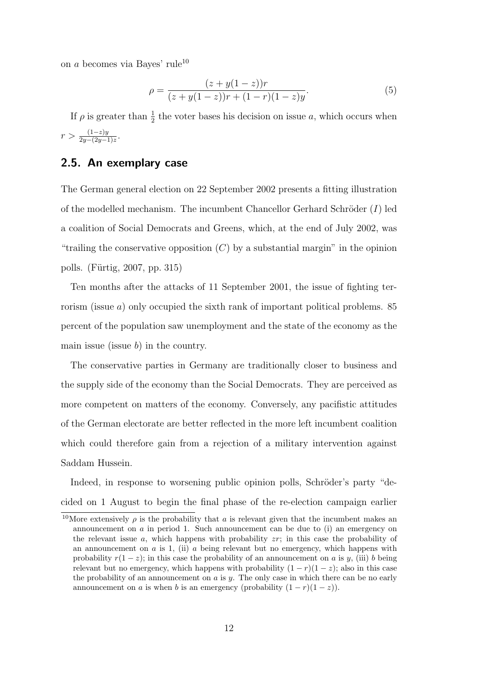on a becomes via Bayes' rule<sup>10</sup>

$$
\rho = \frac{(z + y(1 - z))r}{(z + y(1 - z))r + (1 - r)(1 - z)y}.\tag{5}
$$

If  $\rho$  is greater than  $\frac{1}{2}$  the voter bases his decision on issue a, which occurs when  $r > \frac{(1-z)y}{2y-(2y-1)z}.$ 

#### 2.5. An exemplary case

The German general election on 22 September 2002 presents a fitting illustration of the modelled mechanism. The incumbent Chancellor Gerhard Schröder  $(I)$  led a coalition of Social Democrats and Greens, which, at the end of July 2002, was "trailing the conservative opposition  $(C)$  by a substantial margin" in the opinion polls. (Fürtig, 2007, pp. 315)

Ten months after the attacks of 11 September 2001, the issue of fighting terrorism (issue  $a$ ) only occupied the sixth rank of important political problems. 85 percent of the population saw unemployment and the state of the economy as the main issue (issue  $b$ ) in the country.

The conservative parties in Germany are traditionally closer to business and the supply side of the economy than the Social Democrats. They are perceived as more competent on matters of the economy. Conversely, any pacifistic attitudes of the German electorate are better reflected in the more left incumbent coalition which could therefore gain from a rejection of a military intervention against Saddam Hussein.

Indeed, in response to worsening public opinion polls, Schröder's party "decided on 1 August to begin the final phase of the re-election campaign earlier

<sup>&</sup>lt;sup>10</sup>More extensively  $\rho$  is the probability that a is relevant given that the incumbent makes an announcement on  $\alpha$  in period 1. Such announcement can be due to (i) an emergency on the relevant issue a, which happens with probability  $z\bar{r}$ ; in this case the probability of an announcement on  $a$  is 1, (ii)  $a$  being relevant but no emergency, which happens with probability  $r(1-z)$ ; in this case the probability of an announcement on a is y, (iii) b being relevant but no emergency, which happens with probability  $(1 - r)(1 - z)$ ; also in this case the probability of an announcement on  $a$  is  $y$ . The only case in which there can be no early announcement on a is when b is an emergency (probability  $(1 - r)(1 - z)$ ).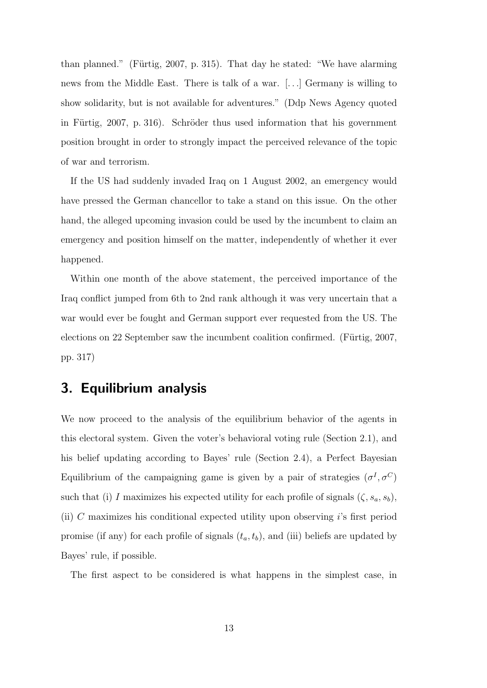than planned." (Fürtig, 2007, p. 315). That day he stated: "We have alarming news from the Middle East. There is talk of a war. [. . .] Germany is willing to show solidarity, but is not available for adventures." (Ddp News Agency quoted in Fürtig, 2007, p. 316). Schröder thus used information that his government position brought in order to strongly impact the perceived relevance of the topic of war and terrorism.

If the US had suddenly invaded Iraq on 1 August 2002, an emergency would have pressed the German chancellor to take a stand on this issue. On the other hand, the alleged upcoming invasion could be used by the incumbent to claim an emergency and position himself on the matter, independently of whether it ever happened.

Within one month of the above statement, the perceived importance of the Iraq conflict jumped from 6th to 2nd rank although it was very uncertain that a war would ever be fought and German support ever requested from the US. The elections on 22 September saw the incumbent coalition confirmed. (Fürtig, 2007, pp. 317)

# 3. Equilibrium analysis

We now proceed to the analysis of the equilibrium behavior of the agents in this electoral system. Given the voter's behavioral voting rule (Section 2.1), and his belief updating according to Bayes' rule (Section 2.4), a Perfect Bayesian Equilibrium of the campaigning game is given by a pair of strategies  $(\sigma^I, \sigma^C)$ such that (i) I maximizes his expected utility for each profile of signals  $(\zeta, s_a, s_b)$ , (ii) C maximizes his conditional expected utility upon observing  $i$ 's first period promise (if any) for each profile of signals  $(t_a, t_b)$ , and (iii) beliefs are updated by Bayes' rule, if possible.

The first aspect to be considered is what happens in the simplest case, in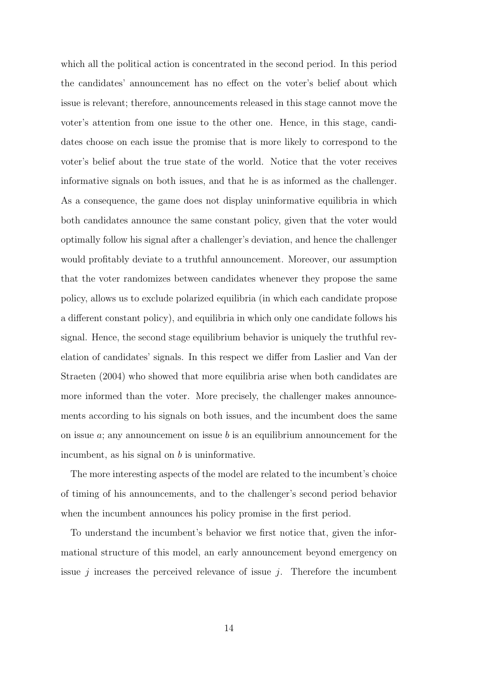which all the political action is concentrated in the second period. In this period the candidates' announcement has no effect on the voter's belief about which issue is relevant; therefore, announcements released in this stage cannot move the voter's attention from one issue to the other one. Hence, in this stage, candidates choose on each issue the promise that is more likely to correspond to the voter's belief about the true state of the world. Notice that the voter receives informative signals on both issues, and that he is as informed as the challenger. As a consequence, the game does not display uninformative equilibria in which both candidates announce the same constant policy, given that the voter would optimally follow his signal after a challenger's deviation, and hence the challenger would profitably deviate to a truthful announcement. Moreover, our assumption that the voter randomizes between candidates whenever they propose the same policy, allows us to exclude polarized equilibria (in which each candidate propose a different constant policy), and equilibria in which only one candidate follows his signal. Hence, the second stage equilibrium behavior is uniquely the truthful revelation of candidates' signals. In this respect we differ from Laslier and Van der Straeten (2004) who showed that more equilibria arise when both candidates are more informed than the voter. More precisely, the challenger makes announcements according to his signals on both issues, and the incumbent does the same on issue  $a$ ; any announcement on issue  $b$  is an equilibrium announcement for the incumbent, as his signal on  $b$  is uninformative.

The more interesting aspects of the model are related to the incumbent's choice of timing of his announcements, and to the challenger's second period behavior when the incumbent announces his policy promise in the first period.

To understand the incumbent's behavior we first notice that, given the informational structure of this model, an early announcement beyond emergency on issue  $j$  increases the perceived relevance of issue  $j$ . Therefore the incumbent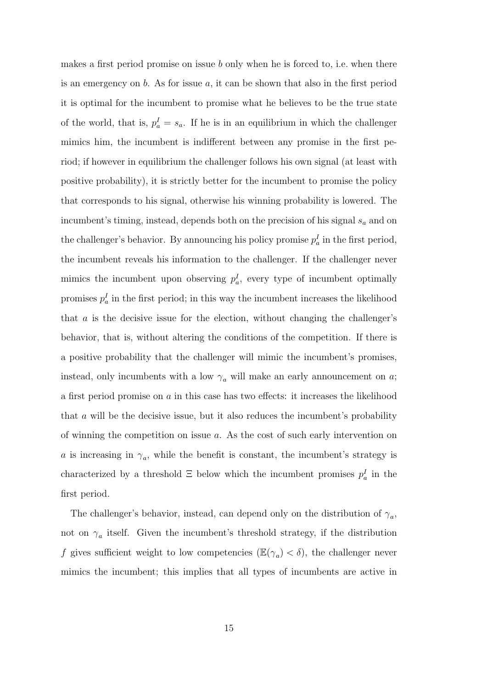makes a first period promise on issue b only when he is forced to, i.e. when there is an emergency on  $b$ . As for issue  $a$ , it can be shown that also in the first period it is optimal for the incumbent to promise what he believes to be the true state of the world, that is,  $p_a^I = s_a$ . If he is in an equilibrium in which the challenger mimics him, the incumbent is indifferent between any promise in the first period; if however in equilibrium the challenger follows his own signal (at least with positive probability), it is strictly better for the incumbent to promise the policy that corresponds to his signal, otherwise his winning probability is lowered. The incumbent's timing, instead, depends both on the precision of his signal  $s_a$  and on the challenger's behavior. By announcing his policy promise  $p_a^I$  in the first period, the incumbent reveals his information to the challenger. If the challenger never mimics the incumbent upon observing  $p_a^I$ , every type of incumbent optimally promises  $p_a^I$  in the first period; in this way the incumbent increases the likelihood that a is the decisive issue for the election, without changing the challenger's behavior, that is, without altering the conditions of the competition. If there is a positive probability that the challenger will mimic the incumbent's promises, instead, only incumbents with a low  $\gamma_a$  will make an early announcement on a; a first period promise on  $a$  in this case has two effects: it increases the likelihood that a will be the decisive issue, but it also reduces the incumbent's probability of winning the competition on issue a. As the cost of such early intervention on a is increasing in  $\gamma_a$ , while the benefit is constant, the incumbent's strategy is characterized by a threshold  $\Xi$  below which the incumbent promises  $p_a^I$  in the first period.

The challenger's behavior, instead, can depend only on the distribution of  $\gamma_a$ , not on  $\gamma_a$  itself. Given the incumbent's threshold strategy, if the distribution f gives sufficient weight to low competencies  $(\mathbb{E}(\gamma_a) < \delta)$ , the challenger never mimics the incumbent; this implies that all types of incumbents are active in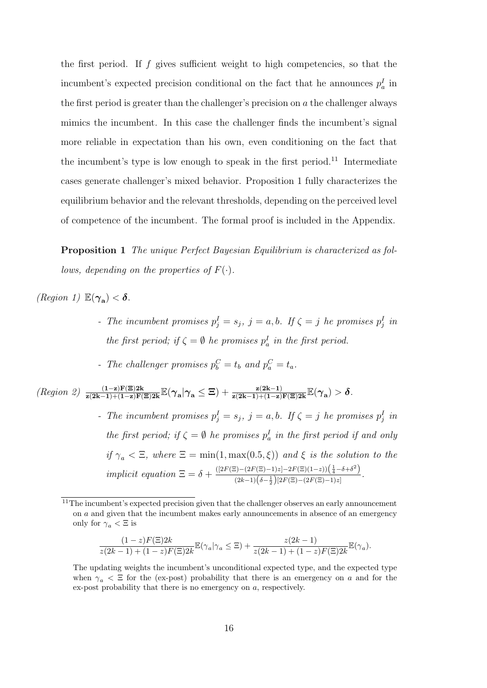the first period. If  $f$  gives sufficient weight to high competencies, so that the incumbent's expected precision conditional on the fact that he announces  $p_a^I$  in the first period is greater than the challenger's precision on  $\alpha$  the challenger always mimics the incumbent. In this case the challenger finds the incumbent's signal more reliable in expectation than his own, even conditioning on the fact that the incumbent's type is low enough to speak in the first period.<sup>11</sup> Intermediate cases generate challenger's mixed behavior. Proposition 1 fully characterizes the equilibrium behavior and the relevant thresholds, depending on the perceived level of competence of the incumbent. The formal proof is included in the Appendix.

Proposition 1 The unique Perfect Bayesian Equilibrium is characterized as follows, depending on the properties of  $F(\cdot)$ .

(Region 1)  $\mathbb{E}(\gamma_{\mathbf{a}}) < \delta$ .

- The incumbent promises  $p_j^I = s_j$ ,  $j = a, b$ . If  $\zeta = j$  he promises  $p_j^I$  in the first period; if  $\zeta = \emptyset$  he promises  $p_a^I$  in the first period.

- The challenger promises  $p_b^C = t_b$  and  $p_a^C = t_a$ .

 $\mathcal{L}(Region \ 2) \frac{(1-z)\mathbf{F}(\Xi)2\mathbf{k}}{z(2\mathbf{k}-1)+(1-z)\mathbf{F}(\Xi)2\mathbf{k}} \mathbb{E}(\gamma_{\mathbf{a}}|\gamma_{\mathbf{a}} \leq \Xi) + \frac{z(2\mathbf{k}-1)}{z(2\mathbf{k}-1)+(1-z)\mathbf{F}(\Xi)2\mathbf{k}} \mathbb{E}(\gamma_{\mathbf{a}}) > \delta.$ 

- The incumbent promises  $p_j^I = s_j$ ,  $j = a, b$ . If  $\zeta = j$  he promises  $p_j^I$  in the first period; if  $\zeta = \emptyset$  he promises  $p_a^I$  in the first period if and only if  $\gamma_a < \Xi$ , where  $\Xi = \min(1, \max(0.5, \xi))$  and  $\xi$  is the solution to the implicit equation  $\Xi = \delta + \frac{([2F(\Xi)-(2F(\Xi)-1)z]-2F(\Xi)(1-z))(\frac{1}{4}-\delta+\delta^2)}{(2L-1)(\frac{1}{2}-\delta)(2L-1)(2F(\Xi)-(2F(\Xi)-1)+1)}$  $\frac{(2k-1)\left(\delta-\frac{1}{2}\right)[2F(\Xi)-(2F(\Xi)-1)z]}{(2k-1)\left(\delta-\frac{1}{2}\right)[2F(\Xi)-(2F(\Xi)-1)z]}.$ 

$$
\frac{(1-z)F(\Xi)2k}{z(2k-1)+(1-z)F(\Xi)2k}\mathbb{E}(\gamma_a|\gamma_a \leq \Xi) + \frac{z(2k-1)}{z(2k-1)+(1-z)F(\Xi)2k}\mathbb{E}(\gamma_a).
$$

 $11$ The incumbent's expected precision given that the challenger observes an early announcement on a and given that the incumbent makes early announcements in absence of an emergency only for  $\gamma_a < \Xi$  is

The updating weights the incumbent's unconditional expected type, and the expected type when  $\gamma_a \leq \Xi$  for the (ex-post) probability that there is an emergency on a and for the ex-post probability that there is no emergency on a, respectively.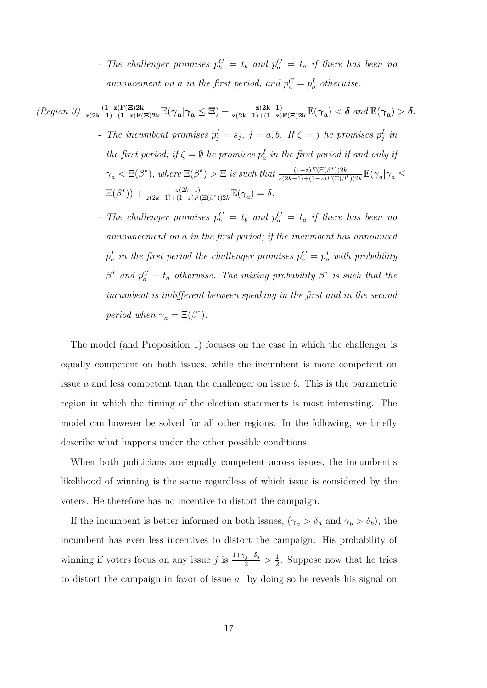- The challenger promises  $p_b^C = t_b$  and  $p_a^C = t_a$  if there has been no annoucement on a in the first period, and  $p_a^C = p_a^I$  otherwise.

(Region 3) 
$$
\frac{(1-z)\mathbf{F}(\Xi)2\mathbf{k}}{z(2\mathbf{k}-1)+(1-z)\mathbf{F}(\Xi)2\mathbf{k}}\mathbb{E}(\gamma_{\mathbf{a}}|\gamma_{\mathbf{a}} \leq \Xi) + \frac{z(2\mathbf{k}-1)}{z(2\mathbf{k}-1)+(1-z)\mathbf{F}(\Xi)2\mathbf{k}}\mathbb{E}(\gamma_{\mathbf{a}}) < \delta
$$
 and  $\mathbb{E}(\gamma_{\mathbf{a}}) > \delta$ .  
\n- The incumbent promises  $p_j^I = s_j$ ,  $j = a, b$ . If  $\zeta = j$  he promises  $p_j^I$  in  
\nthe first period; if  $\zeta = \emptyset$  he promises  $p_a^I$  in the first period if and only if  
\n $\gamma_a < \Xi(\beta^*)$ , where  $\Xi(\beta^*) > \Xi$  is such that  $\frac{(1-z)\mathbf{F}(\Xi(\beta^*))2\mathbf{k}}{z(2\mathbf{k}-1)+(1-z)\mathbf{F}(\Xi(\beta^*))2\mathbf{k}}\mathbb{E}(\gamma_a|\gamma_a \leq$   
\n $\Xi(\beta^*)) + \frac{z(2\mathbf{k}-1)}{z(2\mathbf{k}-1)+(1-z)\mathbf{F}(\Xi(\beta^*))2\mathbf{k}}\mathbb{E}(\gamma_a) = \delta$ .

- The challenger promises  $p_b^C = t_b$  and  $p_a^C = t_a$  if there has been no announcement on a in the first period; if the incumbent has announced  $p^I_a$  in the first period the challenger promises  $p^C_a = p^I_a$  with probability  $\beta^*$  and  $p_a^C = t_a$  otherwise. The mixing probability  $\beta^*$  is such that the incumbent is indifferent between speaking in the first and in the second period when  $\gamma_a = \Xi(\beta^*).$ 

The model (and Proposition 1) focuses on the case in which the challenger is equally competent on both issues, while the incumbent is more competent on issue a and less competent than the challenger on issue b. This is the parametric region in which the timing of the election statements is most interesting. The model can however be solved for all other regions. In the following, we briefly describe what happens under the other possible conditions.

When both politicians are equally competent across issues, the incumbent's likelihood of winning is the same regardless of which issue is considered by the voters. He therefore has no incentive to distort the campaign.

If the incumbent is better informed on both issues,  $(\gamma_a > \delta_a \text{ and } \gamma_b > \delta_b)$ , the incumbent has even less incentives to distort the campaign. His probability of winning if voters focus on any issue j is  $\frac{1+\gamma_j-\delta_j}{2} > \frac{1}{2}$  $\frac{1}{2}$ . Suppose now that he tries to distort the campaign in favor of issue a: by doing so he reveals his signal on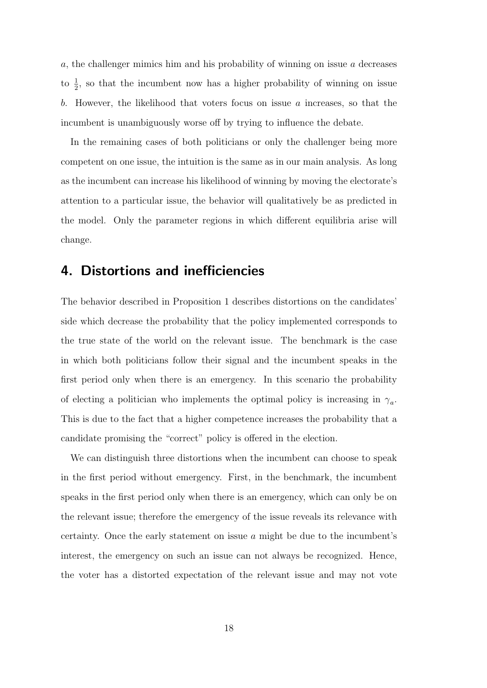a, the challenger mimics him and his probability of winning on issue a decreases to  $\frac{1}{2}$ , so that the incumbent now has a higher probability of winning on issue b. However, the likelihood that voters focus on issue  $a$  increases, so that the incumbent is unambiguously worse off by trying to influence the debate.

In the remaining cases of both politicians or only the challenger being more competent on one issue, the intuition is the same as in our main analysis. As long as the incumbent can increase his likelihood of winning by moving the electorate's attention to a particular issue, the behavior will qualitatively be as predicted in the model. Only the parameter regions in which different equilibria arise will change.

## 4. Distortions and inefficiencies

The behavior described in Proposition 1 describes distortions on the candidates' side which decrease the probability that the policy implemented corresponds to the true state of the world on the relevant issue. The benchmark is the case in which both politicians follow their signal and the incumbent speaks in the first period only when there is an emergency. In this scenario the probability of electing a politician who implements the optimal policy is increasing in  $\gamma_a$ . This is due to the fact that a higher competence increases the probability that a candidate promising the "correct" policy is offered in the election.

We can distinguish three distortions when the incumbent can choose to speak in the first period without emergency. First, in the benchmark, the incumbent speaks in the first period only when there is an emergency, which can only be on the relevant issue; therefore the emergency of the issue reveals its relevance with certainty. Once the early statement on issue a might be due to the incumbent's interest, the emergency on such an issue can not always be recognized. Hence, the voter has a distorted expectation of the relevant issue and may not vote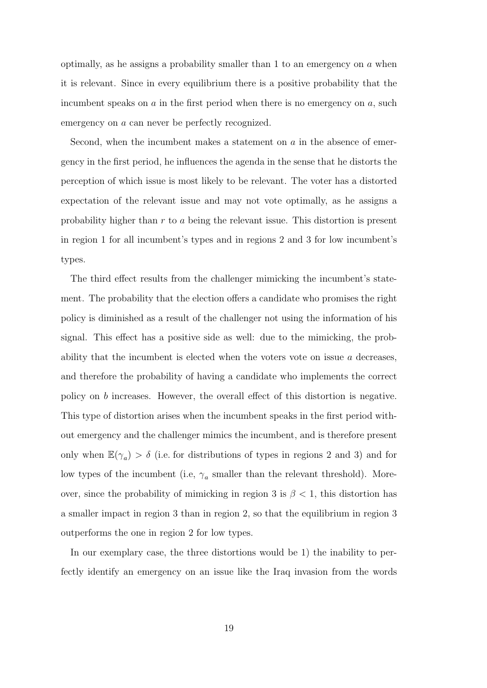optimally, as he assigns a probability smaller than 1 to an emergency on  $\alpha$  when it is relevant. Since in every equilibrium there is a positive probability that the incumbent speaks on  $\alpha$  in the first period when there is no emergency on  $\alpha$ , such emergency on a can never be perfectly recognized.

Second, when the incumbent makes a statement on a in the absence of emergency in the first period, he influences the agenda in the sense that he distorts the perception of which issue is most likely to be relevant. The voter has a distorted expectation of the relevant issue and may not vote optimally, as he assigns a probability higher than r to a being the relevant issue. This distortion is present in region 1 for all incumbent's types and in regions 2 and 3 for low incumbent's types.

The third effect results from the challenger mimicking the incumbent's statement. The probability that the election offers a candidate who promises the right policy is diminished as a result of the challenger not using the information of his signal. This effect has a positive side as well: due to the mimicking, the probability that the incumbent is elected when the voters vote on issue  $a$  decreases. and therefore the probability of having a candidate who implements the correct policy on b increases. However, the overall effect of this distortion is negative. This type of distortion arises when the incumbent speaks in the first period without emergency and the challenger mimics the incumbent, and is therefore present only when  $\mathbb{E}(\gamma_a) > \delta$  (i.e. for distributions of types in regions 2 and 3) and for low types of the incumbent (i.e,  $\gamma_a$  smaller than the relevant threshold). Moreover, since the probability of mimicking in region 3 is  $\beta$  < 1, this distortion has a smaller impact in region 3 than in region 2, so that the equilibrium in region 3 outperforms the one in region 2 for low types.

In our exemplary case, the three distortions would be 1) the inability to perfectly identify an emergency on an issue like the Iraq invasion from the words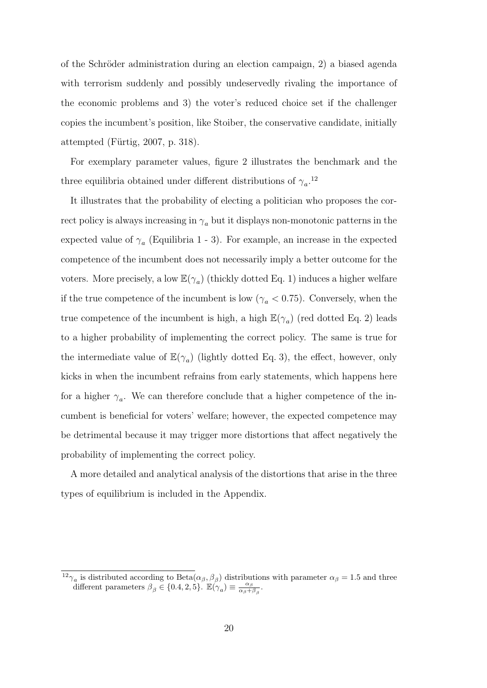of the Schröder administration during an election campaign, 2) a biased agenda with terrorism suddenly and possibly undeservedly rivaling the importance of the economic problems and 3) the voter's reduced choice set if the challenger copies the incumbent's position, like Stoiber, the conservative candidate, initially attempted (Fürtig,  $2007$ , p. 318).

For exemplary parameter values, figure 2 illustrates the benchmark and the three equilibria obtained under different distributions of  $\gamma_a$ <sup>12</sup>

It illustrates that the probability of electing a politician who proposes the correct policy is always increasing in  $\gamma_a$  but it displays non-monotonic patterns in the expected value of  $\gamma_a$  (Equilibria 1 - 3). For example, an increase in the expected competence of the incumbent does not necessarily imply a better outcome for the voters. More precisely, a low  $\mathbb{E}(\gamma_a)$  (thickly dotted Eq. 1) induces a higher welfare if the true competence of the incumbent is low ( $\gamma_a < 0.75$ ). Conversely, when the true competence of the incumbent is high, a high  $\mathbb{E}(\gamma_a)$  (red dotted Eq. 2) leads to a higher probability of implementing the correct policy. The same is true for the intermediate value of  $\mathbb{E}(\gamma_a)$  (lightly dotted Eq. 3), the effect, however, only kicks in when the incumbent refrains from early statements, which happens here for a higher  $\gamma_a$ . We can therefore conclude that a higher competence of the incumbent is beneficial for voters' welfare; however, the expected competence may be detrimental because it may trigger more distortions that affect negatively the probability of implementing the correct policy.

A more detailed and analytical analysis of the distortions that arise in the three types of equilibrium is included in the Appendix.

<sup>&</sup>lt;sup>12</sup> $\gamma_a$  is distributed according to Beta $(\alpha_\beta, \beta_\beta)$  distributions with parameter  $\alpha_\beta = 1.5$  and three different parameters  $\beta_{\beta} \in \{0.4, 2, 5\}$ .  $\mathbb{E}(\gamma_a) \equiv \frac{\alpha_{\beta}}{\alpha_{\beta}+1}$  $\frac{\alpha_\beta}{\alpha_\beta+\beta_\beta}$ .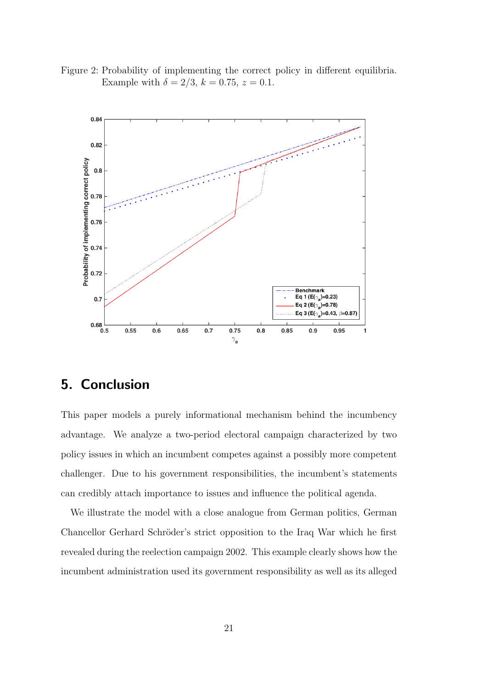Figure 2: Probability of implementing the correct policy in different equilibria. Example with  $\delta = 2/3, k = 0.75, z = 0.1$ .



# 5. Conclusion

This paper models a purely informational mechanism behind the incumbency advantage. We analyze a two-period electoral campaign characterized by two policy issues in which an incumbent competes against a possibly more competent challenger. Due to his government responsibilities, the incumbent's statements can credibly attach importance to issues and influence the political agenda.

We illustrate the model with a close analogue from German politics, German Chancellor Gerhard Schröder's strict opposition to the Iraq War which he first revealed during the reelection campaign 2002. This example clearly shows how the incumbent administration used its government responsibility as well as its alleged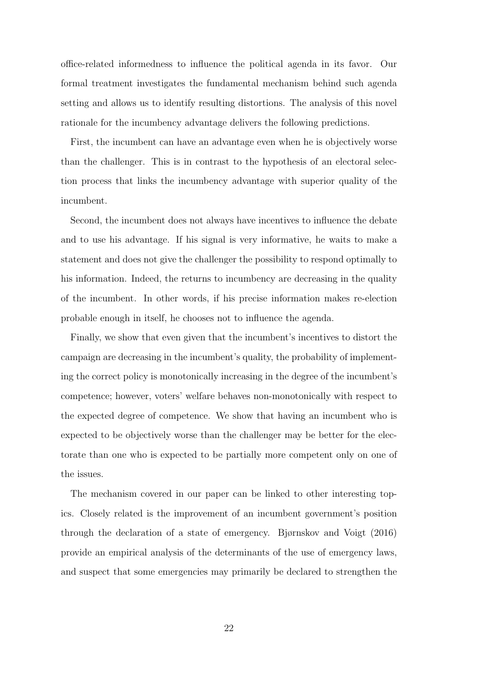office-related informedness to influence the political agenda in its favor. Our formal treatment investigates the fundamental mechanism behind such agenda setting and allows us to identify resulting distortions. The analysis of this novel rationale for the incumbency advantage delivers the following predictions.

First, the incumbent can have an advantage even when he is objectively worse than the challenger. This is in contrast to the hypothesis of an electoral selection process that links the incumbency advantage with superior quality of the incumbent.

Second, the incumbent does not always have incentives to influence the debate and to use his advantage. If his signal is very informative, he waits to make a statement and does not give the challenger the possibility to respond optimally to his information. Indeed, the returns to incumbency are decreasing in the quality of the incumbent. In other words, if his precise information makes re-election probable enough in itself, he chooses not to influence the agenda.

Finally, we show that even given that the incumbent's incentives to distort the campaign are decreasing in the incumbent's quality, the probability of implementing the correct policy is monotonically increasing in the degree of the incumbent's competence; however, voters' welfare behaves non-monotonically with respect to the expected degree of competence. We show that having an incumbent who is expected to be objectively worse than the challenger may be better for the electorate than one who is expected to be partially more competent only on one of the issues.

The mechanism covered in our paper can be linked to other interesting topics. Closely related is the improvement of an incumbent government's position through the declaration of a state of emergency. Bjørnskov and Voigt (2016) provide an empirical analysis of the determinants of the use of emergency laws, and suspect that some emergencies may primarily be declared to strengthen the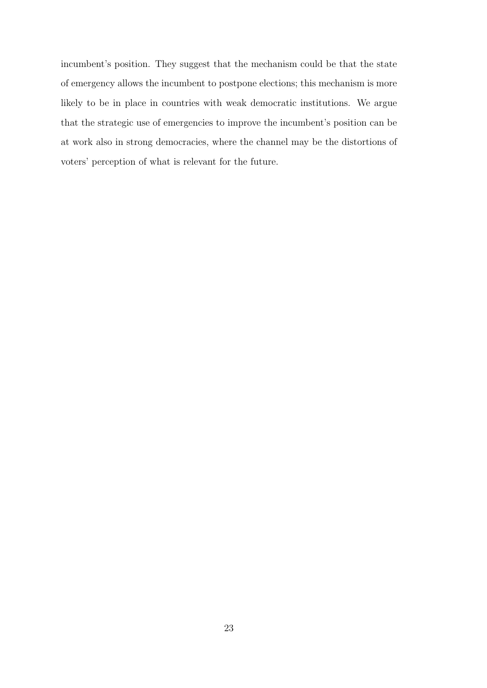incumbent's position. They suggest that the mechanism could be that the state of emergency allows the incumbent to postpone elections; this mechanism is more likely to be in place in countries with weak democratic institutions. We argue that the strategic use of emergencies to improve the incumbent's position can be at work also in strong democracies, where the channel may be the distortions of voters' perception of what is relevant for the future.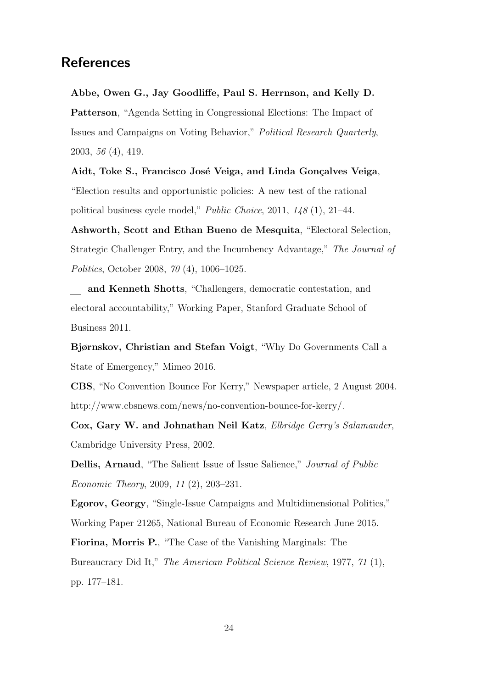# **References**

Abbe, Owen G., Jay Goodliffe, Paul S. Herrnson, and Kelly D. Patterson, "Agenda Setting in Congressional Elections: The Impact of Issues and Campaigns on Voting Behavior," Political Research Quarterly, 2003, 56 (4), 419.

Aidt, Toke S., Francisco José Veiga, and Linda Gonçalves Veiga, "Election results and opportunistic policies: A new test of the rational political business cycle model," Public Choice, 2011, 148 (1), 21–44.

Ashworth, Scott and Ethan Bueno de Mesquita, "Electoral Selection, Strategic Challenger Entry, and the Incumbency Advantage," The Journal of Politics, October 2008, 70 (4), 1006–1025.

and Kenneth Shotts, "Challengers, democratic contestation, and electoral accountability," Working Paper, Stanford Graduate School of Business 2011.

Bjørnskov, Christian and Stefan Voigt, "Why Do Governments Call a State of Emergency," Mimeo 2016.

CBS, "No Convention Bounce For Kerry," Newspaper article, 2 August 2004. http://www.cbsnews.com/news/no-convention-bounce-for-kerry/.

Cox, Gary W. and Johnathan Neil Katz, Elbridge Gerry's Salamander, Cambridge University Press, 2002.

Dellis, Arnaud, "The Salient Issue of Issue Salience," Journal of Public Economic Theory, 2009, 11 (2), 203–231.

Egorov, Georgy, "Single-Issue Campaigns and Multidimensional Politics," Working Paper 21265, National Bureau of Economic Research June 2015.

Fiorina, Morris P., "The Case of the Vanishing Marginals: The Bureaucracy Did It," The American Political Science Review, 1977, 71 (1), pp. 177–181.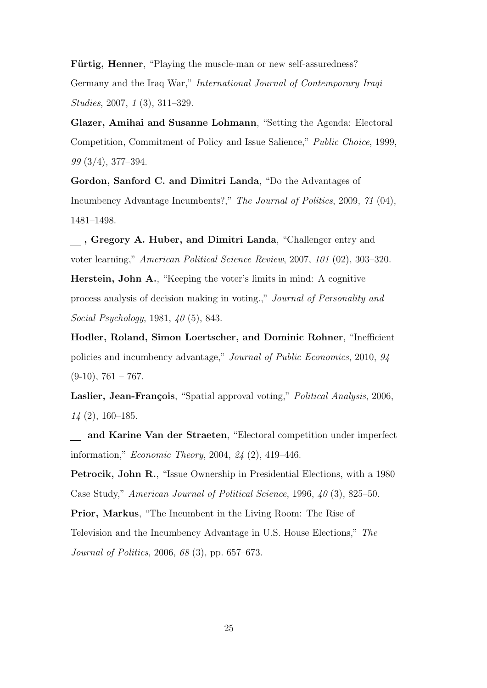Fürtig, Henner, "Playing the muscle-man or new self-assuredness? Germany and the Iraq War," International Journal of Contemporary Iraqi Studies, 2007, 1 (3), 311–329.

Glazer, Amihai and Susanne Lohmann, "Setting the Agenda: Electoral Competition, Commitment of Policy and Issue Salience," Public Choice, 1999, 99 (3/4), 377–394.

Gordon, Sanford C. and Dimitri Landa, "Do the Advantages of Incumbency Advantage Incumbents?," The Journal of Politics, 2009, 71 (04), 1481–1498.

, Gregory A. Huber, and Dimitri Landa, "Challenger entry and voter learning," American Political Science Review, 2007, 101 (02), 303–320.

Herstein, John A., "Keeping the voter's limits in mind: A cognitive process analysis of decision making in voting.," Journal of Personality and Social Psychology, 1981, 40 (5), 843.

Hodler, Roland, Simon Loertscher, and Dominic Rohner, "Inefficient policies and incumbency advantage," Journal of Public Economics, 2010, 94  $(9-10)$ , 761 – 767.

Laslier, Jean-François, "Spatial approval voting," *Political Analysis*, 2006, 14 (2), 160–185.

and Karine Van der Straeten, "Electoral competition under imperfect information," Economic Theory, 2004, 24 (2), 419–446.

Petrocik, John R., "Issue Ownership in Presidential Elections, with a 1980 Case Study," American Journal of Political Science, 1996, 40 (3), 825–50.

Prior, Markus, "The Incumbent in the Living Room: The Rise of Television and the Incumbency Advantage in U.S. House Elections," The Journal of Politics, 2006, 68 (3), pp. 657–673.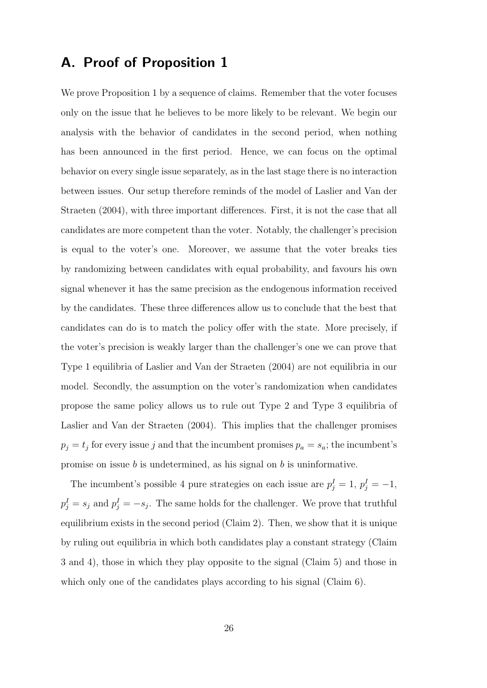# A. Proof of Proposition 1

We prove Proposition 1 by a sequence of claims. Remember that the voter focuses only on the issue that he believes to be more likely to be relevant. We begin our analysis with the behavior of candidates in the second period, when nothing has been announced in the first period. Hence, we can focus on the optimal behavior on every single issue separately, as in the last stage there is no interaction between issues. Our setup therefore reminds of the model of Laslier and Van der Straeten (2004), with three important differences. First, it is not the case that all candidates are more competent than the voter. Notably, the challenger's precision is equal to the voter's one. Moreover, we assume that the voter breaks ties by randomizing between candidates with equal probability, and favours his own signal whenever it has the same precision as the endogenous information received by the candidates. These three differences allow us to conclude that the best that candidates can do is to match the policy offer with the state. More precisely, if the voter's precision is weakly larger than the challenger's one we can prove that Type 1 equilibria of Laslier and Van der Straeten (2004) are not equilibria in our model. Secondly, the assumption on the voter's randomization when candidates propose the same policy allows us to rule out Type 2 and Type 3 equilibria of Laslier and Van der Straeten (2004). This implies that the challenger promises  $p_j = t_j$  for every issue j and that the incumbent promises  $p_a = s_a$ ; the incumbent's promise on issue  $b$  is undetermined, as his signal on  $b$  is uninformative.

The incumbent's possible 4 pure strategies on each issue are  $p_j^I = 1$ ,  $p_j^I = -1$ ,  $p_j^I = s_j$  and  $p_j^I = -s_j$ . The same holds for the challenger. We prove that truthful equilibrium exists in the second period (Claim 2). Then, we show that it is unique by ruling out equilibria in which both candidates play a constant strategy (Claim 3 and 4), those in which they play opposite to the signal (Claim 5) and those in which only one of the candidates plays according to his signal (Claim 6).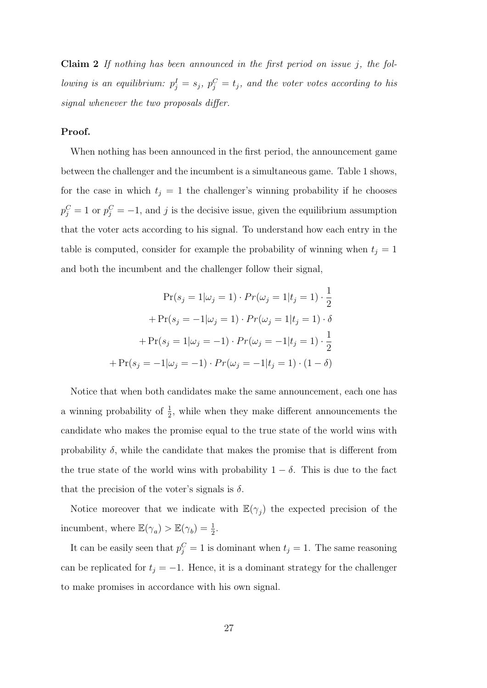**Claim 2** If nothing has been announced in the first period on issue  $j$ , the following is an equilibrium:  $p_j^I = s_j$ ,  $p_j^C = t_j$ , and the voter votes according to his signal whenever the two proposals differ.

#### Proof.

When nothing has been announced in the first period, the announcement game between the challenger and the incumbent is a simultaneous game. Table 1 shows, for the case in which  $t_j = 1$  the challenger's winning probability if he chooses  $p_j^C = 1$  or  $p_j^C = -1$ , and j is the decisive issue, given the equilibrium assumption that the voter acts according to his signal. To understand how each entry in the table is computed, consider for example the probability of winning when  $t_j = 1$ and both the incumbent and the challenger follow their signal,

$$
\Pr(s_j = 1 | \omega_j = 1) \cdot \Pr(\omega_j = 1 | t_j = 1) \cdot \frac{1}{2}
$$

$$
+ \Pr(s_j = -1 | \omega_j = 1) \cdot \Pr(\omega_j = 1 | t_j = 1) \cdot \delta
$$

$$
+ \Pr(s_j = 1 | \omega_j = -1) \cdot \Pr(\omega_j = -1 | t_j = 1) \cdot \frac{1}{2}
$$

$$
+ \Pr(s_j = -1 | \omega_j = -1) \cdot \Pr(\omega_j = -1 | t_j = 1) \cdot (1 - \delta)
$$

Notice that when both candidates make the same announcement, each one has a winning probability of  $\frac{1}{2}$ , while when they make different announcements the candidate who makes the promise equal to the true state of the world wins with probability  $\delta$ , while the candidate that makes the promise that is different from the true state of the world wins with probability  $1 - \delta$ . This is due to the fact that the precision of the voter's signals is  $\delta$ .

Notice moreover that we indicate with  $\mathbb{E}(\gamma_j)$  the expected precision of the incumbent, where  $\mathbb{E}(\gamma_a) > \mathbb{E}(\gamma_b) = \frac{1}{2}$ .

It can be easily seen that  $p_j^C = 1$  is dominant when  $t_j = 1$ . The same reasoning can be replicated for  $t_j = -1$ . Hence, it is a dominant strategy for the challenger to make promises in accordance with his own signal.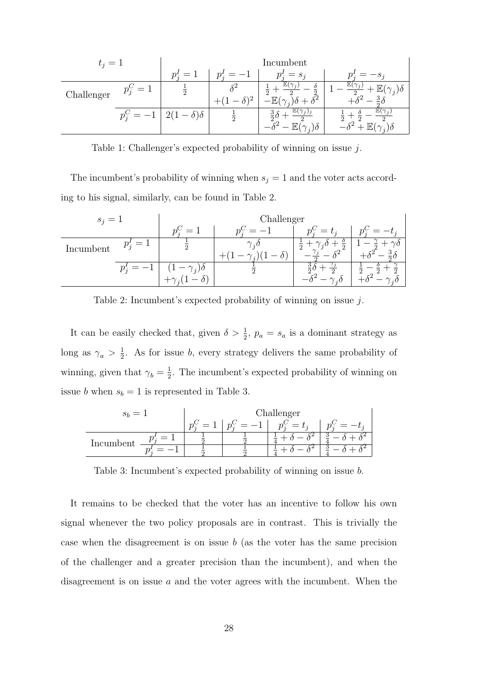| $t_i=1$    |           | Incumbent            |  |                                                                  |                          |  |
|------------|-----------|----------------------|--|------------------------------------------------------------------|--------------------------|--|
|            |           | $n^{\prime}$<br>$=$  |  | $= s_i$                                                          |                          |  |
| Challenger | $=1$      |                      |  | $\gamma_{ij}$<br>$\Omega$<br>$\Omega$<br>$\Omega$<br>$\zeta_2^2$ | IF,<br>$(\gamma_i)$<br>3 |  |
|            | $p_i^C =$ | $-\delta$ ) $\delta$ |  | $\mathbb E$<br>$\mathbf{a}$                                      | $\Omega$                 |  |

Table 1: Challenger's expected probability of winning on issue j.

The incumbent's probability of winning when  $s_j = 1$  and the voter acts according to his signal, similarly, can be found in Table 2.

| $s_i =$   |                  | Challenger        |                           |                                           |                          |  |
|-----------|------------------|-------------------|---------------------------|-------------------------------------------|--------------------------|--|
|           |                  | $=$               |                           | $=$<br>$p_{\mathcal{I}}^{\circ}$<br>$t_i$ | $p_{\mathcal{I}}$        |  |
| Incumbent | $p_i^{\prime} =$ |                   | $\gamma_{zD}$<br>$\theta$ | $\overline{2}$<br>$\Omega$                | $- \gamma_0$<br><b>T</b> |  |
|           |                  | $-\gamma_i\delta$ |                           | $\cdot$ :0                                | $\Omega$<br>$\Omega$     |  |

Table 2: Incumbent's expected probability of winning on issue j.

It can be easily checked that, given  $\delta > \frac{1}{2}$ ,  $p_a = s_a$  is a dominant strategy as long as  $\gamma_a > \frac{1}{2}$  $\frac{1}{2}$ . As for issue b, every strategy delivers the same probability of winning, given that  $\gamma_b = \frac{1}{2}$  $\frac{1}{2}$ . The incumbent's expected probability of winning on issue *b* when  $s_b = 1$  is represented in Table 3.

|           |   | Challenger |  |               |  |  |
|-----------|---|------------|--|---------------|--|--|
|           |   |            |  | $=$<br>$\sim$ |  |  |
| Incumbent | = |            |  |               |  |  |
|           |   |            |  |               |  |  |

Table 3: Incumbent's expected probability of winning on issue b.

It remains to be checked that the voter has an incentive to follow his own signal whenever the two policy proposals are in contrast. This is trivially the case when the disagreement is on issue  $b$  (as the voter has the same precision of the challenger and a greater precision than the incumbent), and when the disagreement is on issue  $\alpha$  and the voter agrees with the incumbent. When the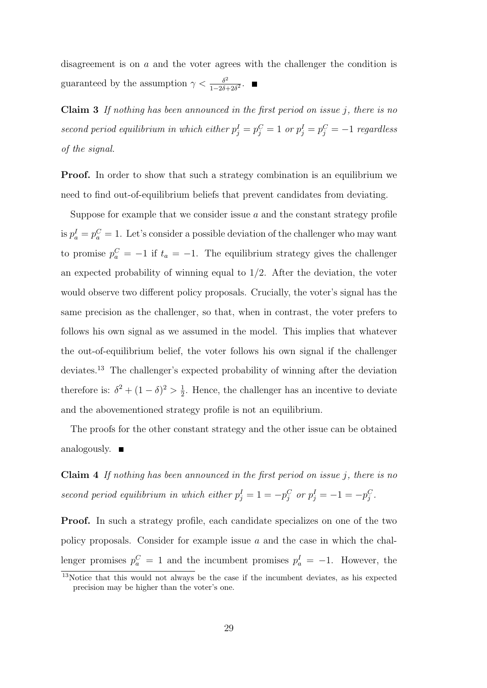disagreement is on a and the voter agrees with the challenger the condition is guaranteed by the assumption  $\gamma < \frac{\delta^2}{1-\gamma\delta}$  $\frac{\delta^2}{1-2\delta+2\delta^2}$ .

Claim 3 If nothing has been announced in the first period on issue j, there is no second period equilibrium in which either  $p_j^I = p_j^C = 1$  or  $p_j^I = p_j^C = -1$  regardless of the signal.

**Proof.** In order to show that such a strategy combination is an equilibrium we need to find out-of-equilibrium beliefs that prevent candidates from deviating.

Suppose for example that we consider issue  $a$  and the constant strategy profile is  $p_a^I = p_a^C = 1$ . Let's consider a possible deviation of the challenger who may want to promise  $p_a^C = -1$  if  $t_a = -1$ . The equilibrium strategy gives the challenger an expected probability of winning equal to  $1/2$ . After the deviation, the voter would observe two different policy proposals. Crucially, the voter's signal has the same precision as the challenger, so that, when in contrast, the voter prefers to follows his own signal as we assumed in the model. This implies that whatever the out-of-equilibrium belief, the voter follows his own signal if the challenger deviates.<sup>13</sup> The challenger's expected probability of winning after the deviation therefore is:  $\delta^2 + (1 - \delta)^2 > \frac{1}{2}$  $\frac{1}{2}$ . Hence, the challenger has an incentive to deviate and the abovementioned strategy profile is not an equilibrium.

The proofs for the other constant strategy and the other issue can be obtained analogously.  $\blacksquare$ 

Claim 4 If nothing has been announced in the first period on issue j, there is no second period equilibrium in which either  $p_j^I = 1 = -p_j^C$  or  $p_j^I = -1 = -p_j^C$ .

Proof. In such a strategy profile, each candidate specializes on one of the two policy proposals. Consider for example issue  $a$  and the case in which the challenger promises  $p_a^C = 1$  and the incumbent promises  $p_a^I = -1$ . However, the

<sup>&</sup>lt;sup>13</sup>Notice that this would not always be the case if the incumbent deviates, as his expected precision may be higher than the voter's one.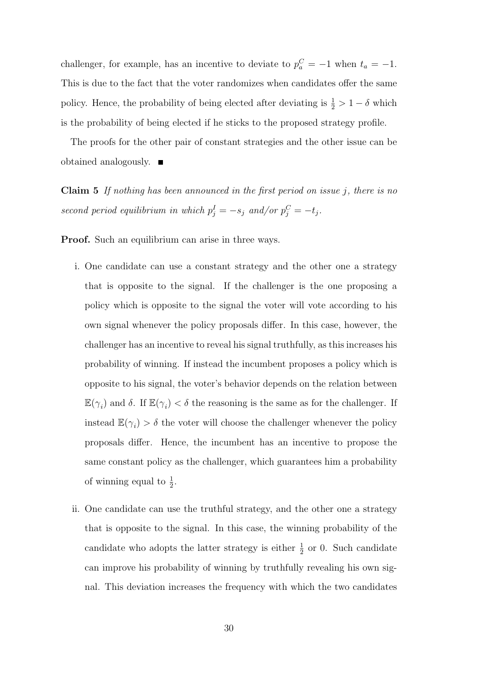challenger, for example, has an incentive to deviate to  $p_a^C = -1$  when  $t_a = -1$ . This is due to the fact that the voter randomizes when candidates offer the same policy. Hence, the probability of being elected after deviating is  $\frac{1}{2} > 1 - \delta$  which is the probability of being elected if he sticks to the proposed strategy profile.

The proofs for the other pair of constant strategies and the other issue can be obtained analogously.

**Claim 5** If nothing has been announced in the first period on issue j, there is no second period equilibrium in which  $p_j^I = -s_j$  and/or  $p_j^C = -t_j$ .

Proof. Such an equilibrium can arise in three ways.

- i. One candidate can use a constant strategy and the other one a strategy that is opposite to the signal. If the challenger is the one proposing a policy which is opposite to the signal the voter will vote according to his own signal whenever the policy proposals differ. In this case, however, the challenger has an incentive to reveal his signal truthfully, as this increases his probability of winning. If instead the incumbent proposes a policy which is opposite to his signal, the voter's behavior depends on the relation between  $\mathbb{E}(\gamma_i)$  and  $\delta$ . If  $\mathbb{E}(\gamma_i) < \delta$  the reasoning is the same as for the challenger. If instead  $\mathbb{E}(\gamma_i) > \delta$  the voter will choose the challenger whenever the policy proposals differ. Hence, the incumbent has an incentive to propose the same constant policy as the challenger, which guarantees him a probability of winning equal to  $\frac{1}{2}$ .
- ii. One candidate can use the truthful strategy, and the other one a strategy that is opposite to the signal. In this case, the winning probability of the candidate who adopts the latter strategy is either  $\frac{1}{2}$  or 0. Such candidate can improve his probability of winning by truthfully revealing his own signal. This deviation increases the frequency with which the two candidates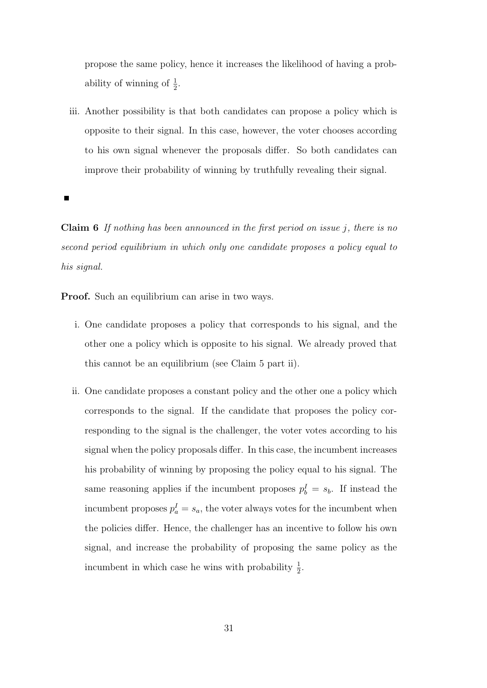propose the same policy, hence it increases the likelihood of having a probability of winning of  $\frac{1}{2}$ .

iii. Another possibility is that both candidates can propose a policy which is opposite to their signal. In this case, however, the voter chooses according to his own signal whenever the proposals differ. So both candidates can improve their probability of winning by truthfully revealing their signal.

Claim 6 If nothing has been announced in the first period on issue j, there is no second period equilibrium in which only one candidate proposes a policy equal to his signal.

Proof. Such an equilibrium can arise in two ways.

- i. One candidate proposes a policy that corresponds to his signal, and the other one a policy which is opposite to his signal. We already proved that this cannot be an equilibrium (see Claim 5 part ii).
- ii. One candidate proposes a constant policy and the other one a policy which corresponds to the signal. If the candidate that proposes the policy corresponding to the signal is the challenger, the voter votes according to his signal when the policy proposals differ. In this case, the incumbent increases his probability of winning by proposing the policy equal to his signal. The same reasoning applies if the incumbent proposes  $p_b^I = s_b$ . If instead the incumbent proposes  $p_a^I = s_a$ , the voter always votes for the incumbent when the policies differ. Hence, the challenger has an incentive to follow his own signal, and increase the probability of proposing the same policy as the incumbent in which case he wins with probability  $\frac{1}{2}$ .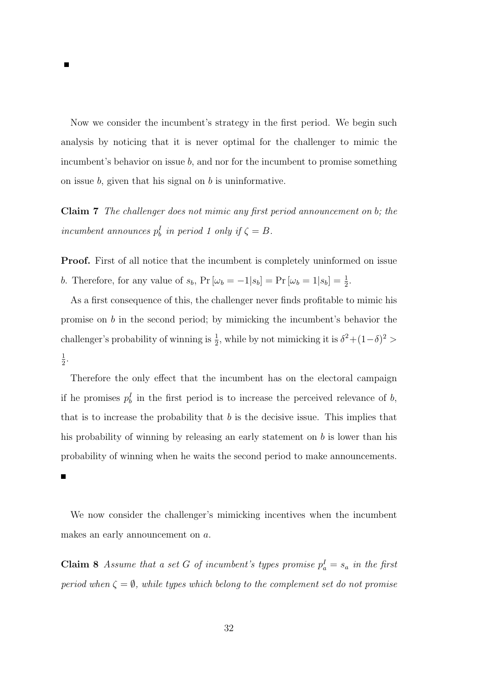Now we consider the incumbent's strategy in the first period. We begin such analysis by noticing that it is never optimal for the challenger to mimic the incumbent's behavior on issue  $b$ , and nor for the incumbent to promise something on issue  $b$ , given that his signal on  $b$  is uninformative.

Claim 7 The challenger does not mimic any first period announcement on b; the incumbent announces  $p_b^I$  in period 1 only if  $\zeta = B$ .

**Proof.** First of all notice that the incumbent is completely uninformed on issue b. Therefore, for any value of  $s_b$ ,  $Pr[\omega_b = -1|s_b] = Pr[\omega_b = 1|s_b] = \frac{1}{2}$ .

As a first consequence of this, the challenger never finds profitable to mimic his promise on  $b$  in the second period; by mimicking the incumbent's behavior the challenger's probability of winning is  $\frac{1}{2}$ , while by not mimicking it is  $\delta^2 + (1-\delta)^2 >$ 1  $\frac{1}{2}$ .

Therefore the only effect that the incumbent has on the electoral campaign if he promises  $p_b^I$  in the first period is to increase the perceived relevance of b, that is to increase the probability that  $b$  is the decisive issue. This implies that his probability of winning by releasing an early statement on  $b$  is lower than his probability of winning when he waits the second period to make announcements.

 $\blacksquare$ 

We now consider the challenger's mimicking incentives when the incumbent makes an early announcement on a.

**Claim 8** Assume that a set G of incumbent's types promise  $p_a^I = s_a$  in the first period when  $\zeta = \emptyset$ , while types which belong to the complement set do not promise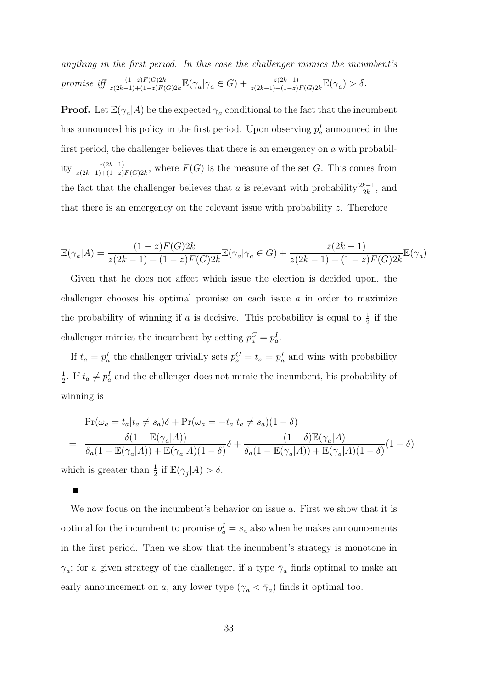anything in the first period. In this case the challenger mimics the incumbent's promise iff  $\frac{(1-z)F(G)2k}{z(2k-1)+(1-z)F(G)2k}\mathbb{E}(\gamma_a|\gamma_a \in G) + \frac{z(2k-1)}{z(2k-1)+(1-z)F(G)2k}\mathbb{E}(\gamma_a) > \delta.$ 

**Proof.** Let  $\mathbb{E}(\gamma_a|A)$  be the expected  $\gamma_a$  conditional to the fact that the incumbent has announced his policy in the first period. Upon observing  $p_a^I$  announced in the first period, the challenger believes that there is an emergency on  $\alpha$  with probability  $\frac{z(2k-1)}{z(2k-1)+(1-z)F(G)2k}$ , where  $F(G)$  is the measure of the set G. This comes from the fact that the challenger believes that a is relevant with probability  $\frac{2k-1}{2k}$ , and that there is an emergency on the relevant issue with probability z. Therefore

$$
\mathbb{E}(\gamma_a|A) = \frac{(1-z)F(G)2k}{z(2k-1) + (1-z)F(G)2k} \mathbb{E}(\gamma_a|\gamma_a \in G) + \frac{z(2k-1)}{z(2k-1) + (1-z)F(G)2k} \mathbb{E}(\gamma_a)
$$

Given that he does not affect which issue the election is decided upon, the challenger chooses his optimal promise on each issue  $a$  in order to maximize the probability of winning if a is decisive. This probability is equal to  $\frac{1}{2}$  if the challenger mimics the incumbent by setting  $p_a^C = p_a^I$ .

If  $t_a = p_a^I$  the challenger trivially sets  $p_a^C = t_a = p_a^I$  and wins with probability 1  $\frac{1}{2}$ . If  $t_a \neq p_a^I$  and the challenger does not mimic the incumbent, his probability of winning is

$$
\Pr(\omega_a = t_a | t_a \neq s_a)\delta + \Pr(\omega_a = -t_a | t_a \neq s_a)(1 - \delta)
$$
  
= 
$$
\frac{\delta(1 - \mathbb{E}(\gamma_a | A))}{\delta_a(1 - \mathbb{E}(\gamma_a | A)) + \mathbb{E}(\gamma_a | A)(1 - \delta)}\delta + \frac{(1 - \delta)\mathbb{E}(\gamma_a | A)}{\delta_a(1 - \mathbb{E}(\gamma_a | A)) + \mathbb{E}(\gamma_a | A)(1 - \delta)}(1 - \delta)
$$
  
which is greater than  $\frac{1}{2}$  if  $\mathbb{E}(\gamma_j | A) > \delta$ .

We now focus on the incumbent's behavior on issue a. First we show that it is optimal for the incumbent to promise  $p_a^I = s_a$  also when he makes announcements in the first period. Then we show that the incumbent's strategy is monotone in  $\gamma_a$ ; for a given strategy of the challenger, if a type  $\bar{\gamma}_a$  finds optimal to make an early announcement on a, any lower type  $(\gamma_a < \bar{\gamma}_a)$  finds it optimal too.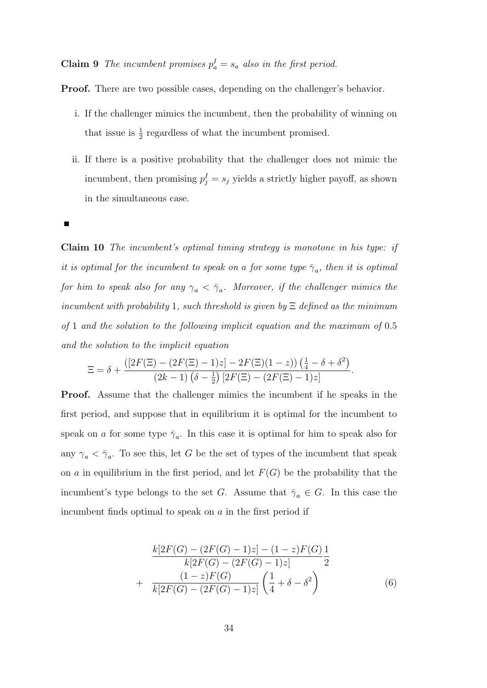**Claim 9** The incumbent promises  $p_a^I = s_a$  also in the first period.

Proof. There are two possible cases, depending on the challenger's behavior.

- i. If the challenger mimics the incumbent, then the probability of winning on that issue is  $\frac{1}{2}$  regardless of what the incumbent promised.
- ii. If there is a positive probability that the challenger does not mimic the incumbent, then promising  $p_j^I = s_j$  yields a strictly higher payoff, as shown in the simultaneous case.

П

Claim 10 The incumbent's optimal timing strategy is monotone in his type: if it is optimal for the incumbent to speak on a for some type  $\bar{\gamma}_a$ , then it is optimal for him to speak also for any  $\gamma_a < \bar{\gamma}_a$ . Moreover, if the challenger mimics the incumbent with probability 1, such threshold is given by  $\Xi$  defined as the minimum of 1 and the solution to the following implicit equation and the maximum of 0.5 and the solution to the implicit equation

$$
\Xi = \delta + \frac{([2F(\Xi) - (2F(\Xi) - 1)z] - 2F(\Xi)(1 - z))(\frac{1}{4} - \delta + \delta^2)}{(2k - 1)(\delta - \frac{1}{2})[2F(\Xi) - (2F(\Xi) - 1)z]}.
$$

Proof. Assume that the challenger mimics the incumbent if he speaks in the first period, and suppose that in equilibrium it is optimal for the incumbent to speak on a for some type  $\bar{\gamma}_a$ . In this case it is optimal for him to speak also for any  $\gamma_a < \bar{\gamma}_a$ . To see this, let G be the set of types of the incumbent that speak on a in equilibrium in the first period, and let  $F(G)$  be the probability that the incumbent's type belongs to the set G. Assume that  $\bar{\gamma}_a \in G$ . In this case the incumbent finds optimal to speak on  $\alpha$  in the first period if

$$
\frac{k[2F(G) - (2F(G) - 1)z] - (1 - z)F(G)}{k[2F(G) - (2F(G) - 1)z]} \frac{1}{2}
$$
  
+ 
$$
\frac{(1 - z)F(G)}{k[2F(G) - (2F(G) - 1)z]} \left(\frac{1}{4} + \delta - \delta^2\right)
$$
(6)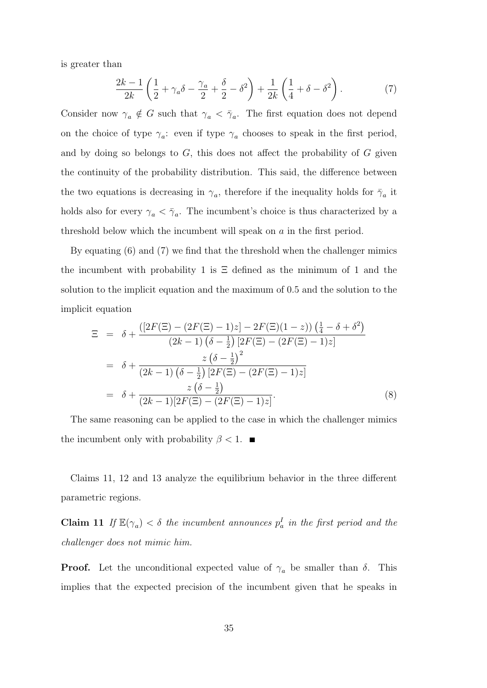is greater than

$$
\frac{2k-1}{2k} \left( \frac{1}{2} + \gamma_a \delta - \frac{\gamma_a}{2} + \frac{\delta}{2} - \delta^2 \right) + \frac{1}{2k} \left( \frac{1}{4} + \delta - \delta^2 \right). \tag{7}
$$

Consider now  $\gamma_a \notin G$  such that  $\gamma_a < \overline{\gamma}_a$ . The first equation does not depend on the choice of type  $\gamma_a$ : even if type  $\gamma_a$  chooses to speak in the first period, and by doing so belongs to  $G$ , this does not affect the probability of  $G$  given the continuity of the probability distribution. This said, the difference between the two equations is decreasing in  $\gamma_a$ , therefore if the inequality holds for  $\bar{\gamma}_a$  it holds also for every  $\gamma_a < \bar{\gamma}_a$ . The incumbent's choice is thus characterized by a threshold below which the incumbent will speak on a in the first period.

By equating (6) and (7) we find that the threshold when the challenger mimics the incumbent with probability 1 is  $\Xi$  defined as the minimum of 1 and the solution to the implicit equation and the maximum of 0.5 and the solution to the implicit equation

$$
\Xi = \delta + \frac{([2F(\Xi) - (2F(\Xi) - 1)z] - 2F(\Xi)(1 - z))(\frac{1}{4} - \delta + \delta^2)}{(2k - 1)(\delta - \frac{1}{2})[2F(\Xi) - (2F(\Xi) - 1)z]}
$$
  
\n
$$
= \delta + \frac{z(\delta - \frac{1}{2})^2}{(2k - 1)(\delta - \frac{1}{2})[2F(\Xi) - (2F(\Xi) - 1)z]}
$$
  
\n
$$
= \delta + \frac{z(\delta - \frac{1}{2})}{(2k - 1)[2F(\Xi) - (2F(\Xi) - 1)z]}.
$$
 (8)

The same reasoning can be applied to the case in which the challenger mimics the incumbent only with probability  $\beta < 1$ .

Claims 11, 12 and 13 analyze the equilibrium behavior in the three different parametric regions.

**Claim 11** If  $\mathbb{E}(\gamma_a) < \delta$  the incumbent announces  $p_a^I$  in the first period and the challenger does not mimic him.

**Proof.** Let the unconditional expected value of  $\gamma_a$  be smaller than  $\delta$ . This implies that the expected precision of the incumbent given that he speaks in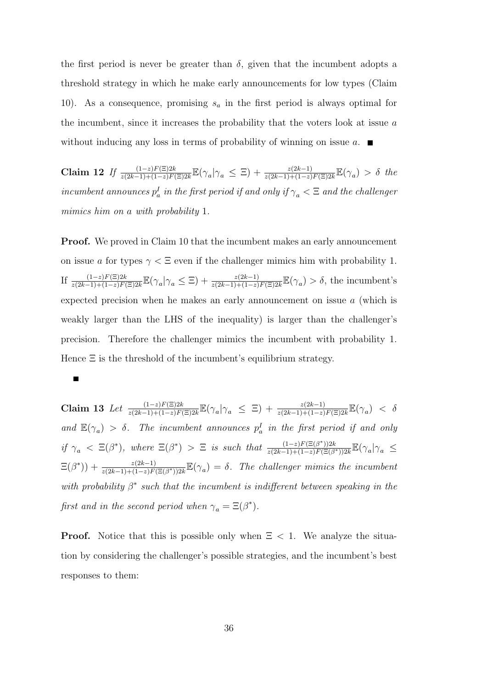the first period is never be greater than  $\delta$ , given that the incumbent adopts a threshold strategy in which he make early announcements for low types (Claim 10). As a consequence, promising  $s_a$  in the first period is always optimal for the incumbent, since it increases the probability that the voters look at issue a without inducing any loss in terms of probability of winning on issue  $a$ .

Claim 12 If  $\frac{(1-z)F(\Xi)2k}{z(2k-1)+(1-z)F(\Xi)2k} \mathbb{E}(\gamma_a|\gamma_a \leq \Xi) + \frac{z(2k-1)}{z(2k-1)+(1-z)F(\Xi)2k} \mathbb{E}(\gamma_a) > \delta$  the incumbent announces  $p_a^I$  in the first period if and only if  $\gamma_a < \Xi$  and the challenger mimics him on a with probability 1.

**Proof.** We proved in Claim 10 that the incumbent makes an early announcement on issue a for types  $\gamma < \Xi$  even if the challenger mimics him with probability 1. If  $\frac{(1-z)F(\Xi)2k}{z(2k-1)+(1-z)F(\Xi)2k}\mathbb{E}(\gamma_a|\gamma_a \leq \Xi) + \frac{z(2k-1)}{z(2k-1)+(1-z)F(\Xi)2k}\mathbb{E}(\gamma_a) > \delta$ , the incumbent's expected precision when he makes an early announcement on issue a (which is weakly larger than the LHS of the inequality) is larger than the challenger's precision. Therefore the challenger mimics the incumbent with probability 1. Hence  $\Xi$  is the threshold of the incumbent's equilibrium strategy.

#### $\blacksquare$

Claim 13 Let  $\frac{(1-z)F(\Xi)2k}{z(2k-1)+(1-z)F(\Xi)2k} \mathbb{E}(\gamma_a|\gamma_a \leq \Xi) + \frac{z(2k-1)}{z(2k-1)+(1-z)F(\Xi)2k} \mathbb{E}(\gamma_a) < \delta$ and  $\mathbb{E}(\gamma_a) > \delta$ . The incumbent announces  $p_a^I$  in the first period if and only if  $\gamma_a \leq \Xi(\beta^*)$ , where  $\Xi(\beta^*)$   $> \Xi$  is such that  $\frac{(1-z)F(\Xi(\beta^*))2k}{z(2k-1)+(1-z)F(\Xi(\beta^*))}$  $\frac{(1-z)F(\Xi(\beta^*))2k}{z(2k-1)+(1-z)F(\Xi(\beta^*))2k}\mathbb{E}(\gamma_a|\gamma_a \leq$  $\Xi(\beta^*)$  +  $\frac{z(2k-1)}{z(2k-1)+(1-z)F(\Xi(\beta^*))2k}\mathbb{E}(\gamma_a) = \delta$ . The challenger mimics the incumbent with probability  $\beta^*$  such that the incumbent is indifferent between speaking in the first and in the second period when  $\gamma_a = \Xi(\beta^*).$ 

**Proof.** Notice that this is possible only when  $\Xi$  < 1. We analyze the situation by considering the challenger's possible strategies, and the incumbent's best responses to them: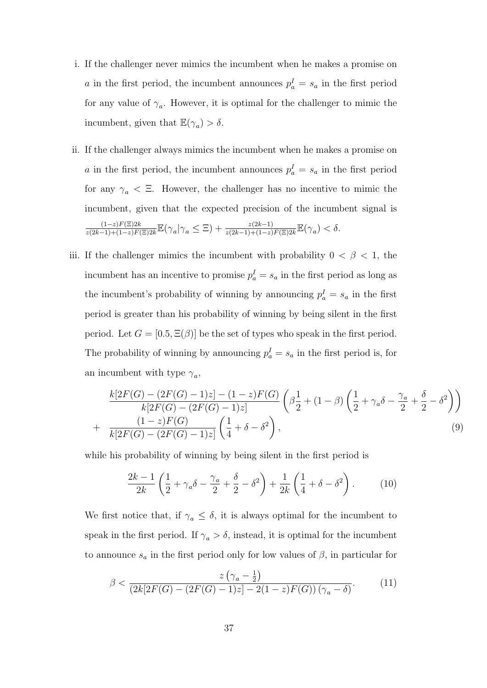- i. If the challenger never mimics the incumbent when he makes a promise on a in the first period, the incumbent announces  $p_a^I = s_a$  in the first period for any value of  $\gamma_a$ . However, it is optimal for the challenger to mimic the incumbent, given that  $\mathbb{E}(\gamma_a) > \delta$ .
- ii. If the challenger always mimics the incumbent when he makes a promise on a in the first period, the incumbent announces  $p_a^I = s_a$  in the first period for any  $\gamma_a < \Xi$ . However, the challenger has no incentive to mimic the incumbent, given that the expected precision of the incumbent signal is  $(1-z)F(\Xi)2k$  $\frac{(1-z)F(\Xi)2k}{z(2k-1)+(1-z)F(\Xi)2k}\mathbb{E}(\gamma_a|\gamma_a \leq \Xi) + \frac{z(2k-1)}{z(2k-1)+(1-z)F(\Xi)2k}\mathbb{E}(\gamma_a) < \delta.$
- iii. If the challenger mimics the incumbent with probability  $0 < \beta < 1$ , the incumbent has an incentive to promise  $p_a^I = s_a$  in the first period as long as the incumbent's probability of winning by announcing  $p_a^I = s_a$  in the first period is greater than his probability of winning by being silent in the first period. Let  $G = [0.5, \Xi(\beta)]$  be the set of types who speak in the first period. The probability of winning by announcing  $p_a^I = s_a$  in the first period is, for an incumbent with type  $\gamma_a$ ,

$$
\frac{k[2F(G) - (2F(G) - 1)z] - (1 - z)F(G)}{k[2F(G) - (2F(G) - 1)z]} \left(\beta \frac{1}{2} + (1 - \beta) \left(\frac{1}{2} + \gamma_a \delta - \frac{\gamma_a}{2} + \frac{\delta}{2} - \delta^2\right)\right) + \frac{(1 - z)F(G)}{k[2F(G) - (2F(G) - 1)z]} \left(\frac{1}{4} + \delta - \delta^2\right),\tag{9}
$$

while his probability of winning by being silent in the first period is

$$
\frac{2k-1}{2k} \left( \frac{1}{2} + \gamma_a \delta - \frac{\gamma_a}{2} + \frac{\delta}{2} - \delta^2 \right) + \frac{1}{2k} \left( \frac{1}{4} + \delta - \delta^2 \right). \tag{10}
$$

We first notice that, if  $\gamma_a \leq \delta$ , it is always optimal for the incumbent to speak in the first period. If  $\gamma_a > \delta$ , instead, it is optimal for the incumbent to announce  $s_a$  in the first period only for low values of  $\beta$ , in particular for

$$
\beta < \frac{z\left(\gamma_a - \frac{1}{2}\right)}{\left(2k[2F(G) - (2F(G) - 1)z] - 2(1 - z)F(G)\right)\left(\gamma_a - \delta\right)}.\tag{11}
$$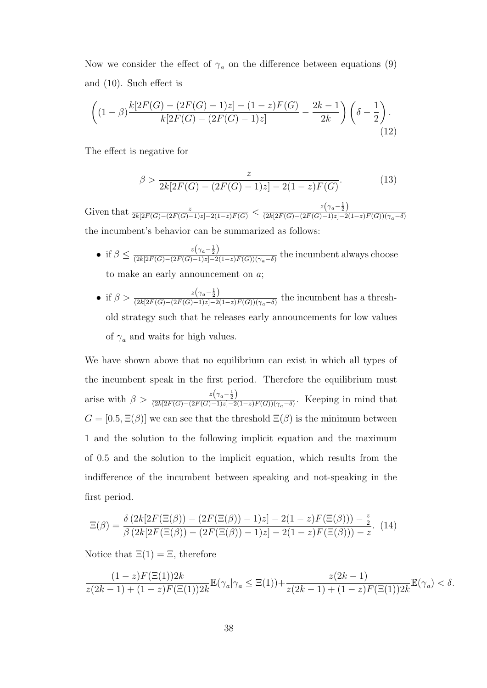Now we consider the effect of  $\gamma_a$  on the difference between equations (9) and (10). Such effect is

$$
\left( (1 - \beta) \frac{k[2F(G) - (2F(G) - 1)z] - (1 - z)F(G)}{k[2F(G) - (2F(G) - 1)z]} - \frac{2k - 1}{2k} \right) \left( \delta - \frac{1}{2} \right). \tag{12}
$$

The effect is negative for

$$
\beta > \frac{z}{2k[2F(G) - (2F(G) - 1)z] - 2(1 - z)F(G)}.\tag{13}
$$

Given that  $\frac{z}{2k[2F(G)-(2F(G)-1)z]-2(1-z)F(G)} < \frac{z(\gamma_a-\frac{1}{2})}{(2k[2F(G)-(2F(G)-1)z]-2]}$  $(2k[2F(G)-(2F(G)-1)z]-2(1-z)F(G))(\gamma_a-\delta)$ the incumbent's behavior can be summarized as follows:

- if  $\beta \leq \frac{z(\gamma_a \frac{1}{2})}{(2k[2F(G) (2F(G) 1)z] 2k]}$  $\frac{\alpha(\lceil a^{-2}\rceil)}{(2k[2F(G)-(2F(G)-1)z]-2(1-z)F(G))(\gamma_a-\delta)}$  the incumbent always choose to make an early announcement on a;
- if  $\beta > \frac{z(\gamma_a \frac{1}{2})}{(2k[2E(G) (2E(G) 1)z 2)}$  $\frac{\alpha(\lceil a \rceil)}{(2k[2F(G)-(2F(G)-1)z]-2(1-z)F(G))(\gamma_a-\delta)}$  the incumbent has a threshold strategy such that he releases early announcements for low values of  $\gamma_a$  and waits for high values.

We have shown above that no equilibrium can exist in which all types of the incumbent speak in the first period. Therefore the equilibrium must arise with  $\beta > \frac{z(\gamma_a - \frac{1}{2})}{(2k! 2E(G) - (2E(G) - 1)z - 2)}$  $\frac{\epsilon \sqrt{a-2}}{(2k[2F(G)-(2F(G)-1)z]-2(1-z)F(G))(\gamma_a-\delta)}$ . Keeping in mind that  $G = [0.5, \Xi(\beta)]$  we can see that the threshold  $\Xi(\beta)$  is the minimum between 1 and the solution to the following implicit equation and the maximum of 0.5 and the solution to the implicit equation, which results from the indifference of the incumbent between speaking and not-speaking in the first period.

$$
\Xi(\beta) = \frac{\delta (2k[2F(\Xi(\beta)) - (2F(\Xi(\beta)) - 1)z] - 2(1 - z)F(\Xi(\beta))) - \frac{z}{2}}{\beta (2k[2F(\Xi(\beta)) - (2F(\Xi(\beta)) - 1)z] - 2(1 - z)F(\Xi(\beta))) - z}.
$$
(14)

Notice that  $\Xi(1) = \Xi$ , therefore

$$
\frac{(1-z)F(\Xi(1))2k}{z(2k-1)+(1-z)F(\Xi(1))2k}\mathbb{E}(\gamma_a|\gamma_a \leq \Xi(1)) + \frac{z(2k-1)}{z(2k-1)+(1-z)F(\Xi(1))2k}\mathbb{E}(\gamma_a) < \delta.
$$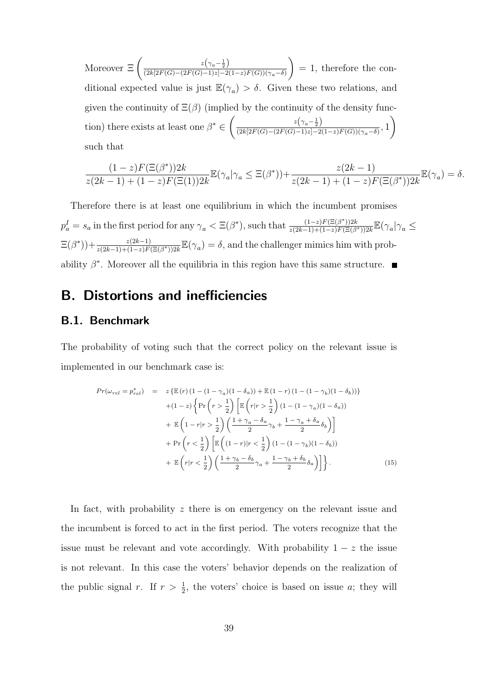Moreover  $\Xi\left(\frac{z(\gamma_a-\frac{1}{2})}{(2k[2E(G)-(2E(G)-1)z]-2)}\right)$  $(2k[2F(G)-(2F(G)-1)z]-2(1-z)F(G))(\gamma_a-\delta)$  $\setminus$  $= 1$ , therefore the conditional expected value is just  $\mathbb{E}(\gamma_a) > \delta$ . Given these two relations, and given the continuity of  $\Xi(\beta)$  (implied by the continuity of the density function) there exists at least one  $\beta^* \in \left(\frac{z(\gamma_a-\frac{1}{2})}{(2k!)F(G)-(2F(G)-1)z-a^2}\right)$  $\frac{\alpha(\frac{7}{a}-2)}{(2k[2F(G)-(2F(G)-1)z]-2(1-z)F(G))(\gamma_a-\delta)},$  1  $\setminus$ such that

$$
\frac{(1-z)F(\Xi(\beta^*))2k}{z(2k-1)+(1-z)F(\Xi(1))2k}\mathbb{E}(\gamma_a|\gamma_a \leq \Xi(\beta^*)) + \frac{z(2k-1)}{z(2k-1)+(1-z)F(\Xi(\beta^*))2k}\mathbb{E}(\gamma_a) = \delta.
$$

Therefore there is at least one equilibrium in which the incumbent promises  $p_a^I = s_a$  in the first period for any  $\gamma_a < \Xi(\beta^*)$ , such that  $\frac{(1-z)F(\Xi(\beta^*))2k}{z(2k-1)+(1-z)F(\Xi(\beta^*))}$  $\frac{(1-z)F(\Xi(\beta^*))2k}{z(2k-1)+(1-z)F(\Xi(\beta^*))2k}\mathbb{E}(\gamma_a|\gamma_a \leq$  $\Xi(\beta^*)$ ) +  $\frac{z(2k-1)}{z(2k-1)+(1-z)F(\Xi(\beta^*))2k}\mathbb{E}(\gamma_a) = \delta$ , and the challenger mimics him with probability  $\beta^*$ . Moreover all the equilibria in this region have this same structure.

# B. Distortions and inefficiencies

#### B.1. Benchmark

The probability of voting such that the correct policy on the relevant issue is implemented in our benchmark case is:

$$
Pr(\omega_{rel} = p_{rel}^*) = z \left\{ \mathbb{E}(r) \left(1 - (1 - \gamma_a)(1 - \delta_a)\right) + \mathbb{E}(1 - r) \left(1 - (1 - \gamma_b)(1 - \delta_b)\right) \right\}
$$

$$
+ (1 - z) \left\{ \Pr\left(r > \frac{1}{2}\right) \left[\mathbb{E}\left(r|r > \frac{1}{2}\right) (1 - (1 - \gamma_a)(1 - \delta_a))\right] \right\}
$$

$$
+ \mathbb{E}\left(1 - r|r > \frac{1}{2}\right) \left(\frac{1 + \gamma_a - \delta_a}{2} \gamma_b + \frac{1 - \gamma_a + \delta_a}{2} \delta_b\right) \right]
$$

$$
+ \Pr\left(r < \frac{1}{2}\right) \left[\mathbb{E}\left((1 - r)|r < \frac{1}{2}\right) (1 - (1 - \gamma_b)(1 - \delta_b))\right]
$$

$$
+ \mathbb{E}\left(r|r < \frac{1}{2}\right) \left(\frac{1 + \gamma_b - \delta_b}{2} \gamma_a + \frac{1 - \gamma_b + \delta_b}{2} \delta_a\right)\right] \}.
$$
(15)

In fact, with probability z there is on emergency on the relevant issue and the incumbent is forced to act in the first period. The voters recognize that the issue must be relevant and vote accordingly. With probability  $1 - z$  the issue is not relevant. In this case the voters' behavior depends on the realization of the public signal r. If  $r > \frac{1}{2}$ , the voters' choice is based on issue a; they will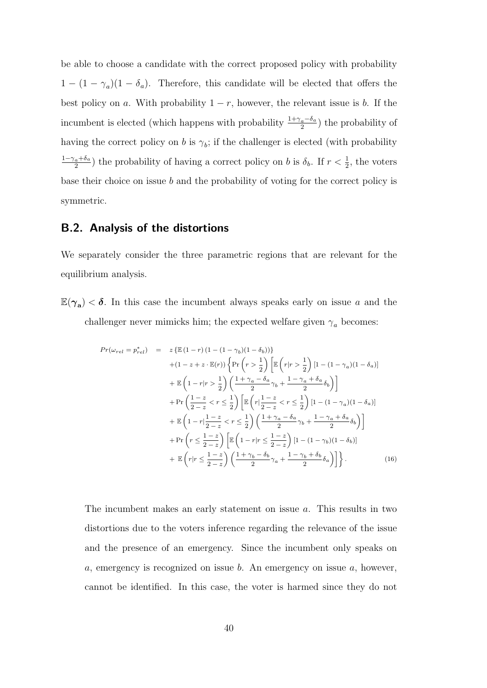be able to choose a candidate with the correct proposed policy with probability  $1 - (1 - \gamma_a)(1 - \delta_a)$ . Therefore, this candidate will be elected that offers the best policy on a. With probability  $1 - r$ , however, the relevant issue is b. If the incumbent is elected (which happens with probability  $\frac{1+\gamma_a-\delta_a}{2}$ ) the probability of having the correct policy on b is  $\gamma_b$ ; if the challenger is elected (with probability  $1-\gamma_a+\delta_a$  $\frac{a+b_a}{2}$ ) the probability of having a correct policy on b is  $\delta_b$ . If  $r < \frac{1}{2}$ , the voters base their choice on issue b and the probability of voting for the correct policy is symmetric.

### B.2. Analysis of the distortions

We separately consider the three parametric regions that are relevant for the equilibrium analysis.

 $\mathbb{E}(\gamma_{a}) < \delta$ . In this case the incumbent always speaks early on issue a and the challenger never mimicks him; the expected welfare given  $\gamma_a$  becomes:

$$
Pr(\omega_{rel} = p_{rel}^*) = z \left\{ \mathbb{E} (1-r) (1 - (1 - \gamma_b)(1 - \delta_b)) \right\}
$$
  
+ (1 - z + z \cdot \mathbb{E}(r)) \left\{ \Pr \left( r > \frac{1}{2} \right) \left[ \mathbb{E} \left( r | r > \frac{1}{2} \right) [1 - (1 - \gamma\_a)(1 - \delta\_a)] \right.   
+ \mathbb{E} \left( 1 - r | r > \frac{1}{2} \right) \left( \frac{1 + \gamma\_a - \delta\_a}{2} \gamma\_b + \frac{1 - \gamma\_a + \delta\_a}{2} \delta\_b \right) \right]   
+ \Pr \left( \frac{1 - z}{2 - z} < r \le \frac{1}{2} \right) \left[ \mathbb{E} \left( r | \frac{1 - z}{2 - z} < r \le \frac{1}{2} \right) [1 - (1 - \gamma\_a)(1 - \delta\_a)] \right.   
+ \mathbb{E} \left( 1 - r | \frac{1 - z}{2 - z} < r \le \frac{1}{2} \right) \left( \frac{1 + \gamma\_a - \delta\_a}{2} \gamma\_b + \frac{1 - \gamma\_a + \delta\_a}{2} \delta\_b \right) \right]   
+ \Pr \left( r \le \frac{1 - z}{2 - z} \right) \left[ \mathbb{E} \left( 1 - r | r \le \frac{1 - z}{2 - z} \right) [1 - (1 - \gamma\_b)(1 - \delta\_b)] \right.   
+ \mathbb{E} \left( r | r \le \frac{1 - z}{2 - z} \right) \left( \frac{1 + \gamma\_b - \delta\_b}{2} \gamma\_a + \frac{1 - \gamma\_b + \delta\_b}{2} \delta\_a \right) \right] \}. (16)

The incumbent makes an early statement on issue a. This results in two distortions due to the voters inference regarding the relevance of the issue and the presence of an emergency. Since the incumbent only speaks on a, emergency is recognized on issue b. An emergency on issue  $a$ , however, cannot be identified. In this case, the voter is harmed since they do not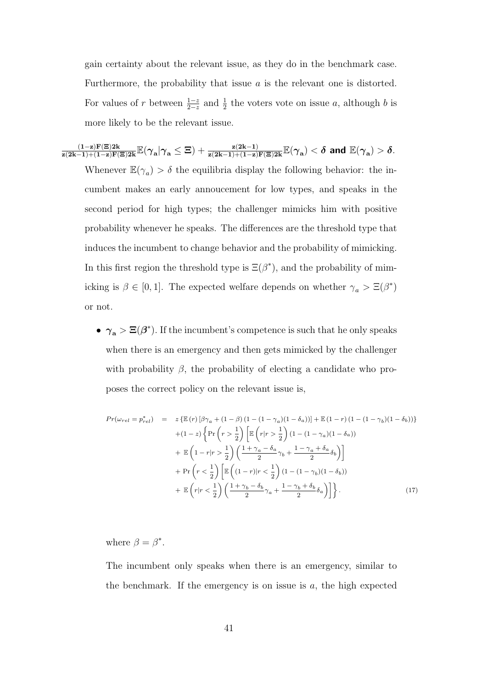gain certainty about the relevant issue, as they do in the benchmark case. Furthermore, the probability that issue a is the relevant one is distorted. For values of r between  $\frac{1-z}{2-z}$  and  $\frac{1}{2}$  the voters vote on issue a, although b is more likely to be the relevant issue.

 $\frac{(1-{\bf z}){\bf F}(\Xi)2{\bf k}}{ {\bf z}(2{\bf k}-1)+(1-{\bf z}){\bf F}(\Xi)2{\bf k}}\mathbb{E}(\boldsymbol{\gamma}_{\mathbf{a}}|\boldsymbol{\gamma}_{\mathbf{a}}\le\Xi)+\frac{{\bf z}(2{\bf k}-1)}{ {\bf z}(2{\bf k}-1)+(1-{\bf z}){\bf F}(\Xi)2{\bf k}}\mathbb{E}(\boldsymbol{\gamma}_{\mathbf{a}})<\boldsymbol{\delta} \text{ and } \mathbb{E}(\boldsymbol{\gamma}_{\mathbf{a}})>\boldsymbol{\delta}.$ Whenever  $\mathbb{E}(\gamma_a) > \delta$  the equilibria display the following behavior: the incumbent makes an early annoucement for low types, and speaks in the second period for high types; the challenger mimicks him with positive probability whenever he speaks. The differences are the threshold type that induces the incumbent to change behavior and the probability of mimicking. In this first region the threshold type is  $\Xi(\beta^*)$ , and the probability of mimicking is  $\beta \in [0, 1]$ . The expected welfare depends on whether  $\gamma_a > \Xi(\beta^*)$ or not.

> •  $\gamma_a > \Xi(\beta^*)$ . If the incumbent's competence is such that he only speaks when there is an emergency and then gets mimicked by the challenger with probability  $\beta$ , the probability of electing a candidate who proposes the correct policy on the relevant issue is,

$$
Pr(\omega_{rel} = p_{rel}^*) = z \left\{ \mathbb{E}(r) \left[ \beta \gamma_a + (1 - \beta) (1 - (1 - \gamma_a)(1 - \delta_a)) \right] + \mathbb{E}(1 - r) (1 - (1 - \gamma_b)(1 - \delta_b)) \right\}
$$

$$
+ (1 - z) \left\{ \Pr \left( r > \frac{1}{2} \right) \left[ \mathbb{E} \left( r | r > \frac{1}{2} \right) (1 - (1 - \gamma_a)(1 - \delta_a)) \right. \right.
$$

$$
+ \mathbb{E} \left( 1 - r | r > \frac{1}{2} \right) \left( \frac{1 + \gamma_a - \delta_a}{2} \gamma_b + \frac{1 - \gamma_a + \delta_a}{2} \delta_b \right) \right]
$$

$$
+ \Pr \left( r < \frac{1}{2} \right) \left[ \mathbb{E} \left( (1 - r) | r < \frac{1}{2} \right) (1 - (1 - \gamma_b)(1 - \delta_b)) \right.
$$

$$
+ \mathbb{E} \left( r | r < \frac{1}{2} \right) \left( \frac{1 + \gamma_b - \delta_b}{2} \gamma_a + \frac{1 - \gamma_b + \delta_b}{2} \delta_a \right) \right]. \tag{17}
$$

where  $\beta = \beta^*$ .

The incumbent only speaks when there is an emergency, similar to the benchmark. If the emergency is on issue is  $a$ , the high expected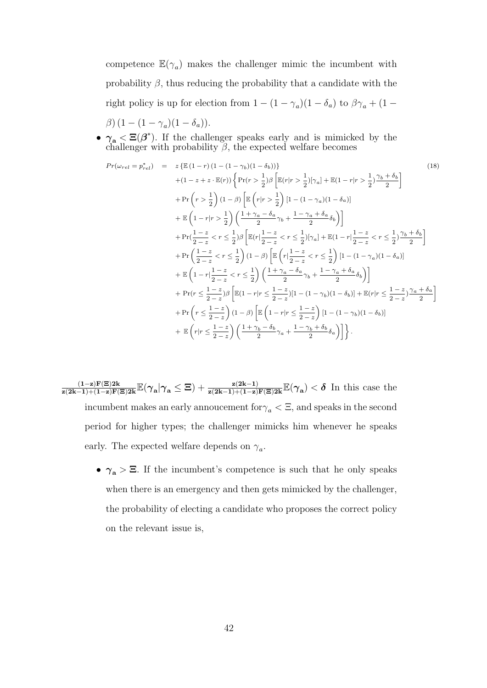competence  $\mathbb{E}(\gamma_a)$  makes the challenger mimic the incumbent with probability  $\beta$ , thus reducing the probability that a candidate with the right policy is up for election from  $1 - (1 - \gamma_a)(1 - \delta_a)$  to  $\beta\gamma_a + (1 - \delta_a)\gamma_a$  $\beta$ )  $(1 - (1 - \gamma_a)(1 - \delta_a)).$ 

•  $\gamma_a \leq \Xi(\beta^*)$ . If the challenger speaks early and is mimicked by the challenger with probability  $\beta$ , the expected welfare becomes

$$
Pr(\omega_{rel} = p_{rel}^{*}) = z \{ \mathbb{E}(1-r) (1 - (1 - \gamma_b)(1 - \delta_b)) \}
$$
\n
$$
+ (1 - z + z \cdot \mathbb{E}(r)) \left\{ \Pr(r > \frac{1}{2}) \beta \left[ \mathbb{E}(r|r > \frac{1}{2}) [\gamma_a] + \mathbb{E}(1 - r|r > \frac{1}{2}) \frac{\gamma_b + \delta_b}{2} \right] \right\}
$$
\n
$$
+ \Pr(r > \frac{1}{2}) (1 - \beta) \left[ \mathbb{E}\left(r|r > \frac{1}{2}\right) [1 - (1 - \gamma_a)(1 - \delta_a)] \right]
$$
\n
$$
+ \mathbb{E}\left(1 - r|r > \frac{1}{2}\right) \left( \frac{1 + \gamma_a - \delta_a}{2} \gamma_b + \frac{1 - \gamma_a + \delta_a}{2} \delta_b \right) \right]
$$
\n
$$
+ \Pr(\frac{1 - z}{2 - z} < r \le \frac{1}{2}) \beta \left[ \mathbb{E}(r | \frac{1 - z}{2 - z} < r \le \frac{1}{2}) [\gamma_a] + \mathbb{E}(1 - r | \frac{1 - z}{2 - z} < r \le \frac{1}{2}) \frac{\gamma_b + \delta_b}{2} \right]
$$
\n
$$
+ \Pr\left(\frac{1 - z}{2 - z} < r \le \frac{1}{2}\right) (1 - \beta) \left[ \mathbb{E}\left(r | \frac{1 - z}{2 - z} < r \le \frac{1}{2}\right) [1 - (1 - \gamma_a)(1 - \delta_a)] \right]
$$
\n
$$
+ \mathbb{E}\left(1 - r | \frac{1 - z}{2 - z} < r \le \frac{1}{2}\right) \left( \frac{1 + \gamma_a - \delta_a}{2} \gamma_b + \frac{1 - \gamma_a + \delta_a}{2} \delta_b \right) \right]
$$
\n
$$
+ \Pr(r \le \frac{1 - z}{2 - z}) \beta \left[ \mathbb{E}(1 - r | r \le \frac{1 - z}{2 - z}) [1 - (1 - \gamma_b)(1 - \delta_b)] + \mathbb{E}(r | r \le \frac{1 - z}{2 - z}) \frac{\gamma_a + \delta_a}{2} \right]
$$
\n
$$
+ \Pr(r \le \frac{1 - z}{2 - z}) (1 - \beta
$$

- $\frac{(1-z)F(\Xi)2k}{z(2k-1)+(1-z)F(\Xi)2k}\mathbb{E}(\gamma_a|\gamma_a\leq \Xi)+\frac{z(2k-1)}{z(2k-1)+(1-z)F(\Xi)2k}\mathbb{E}(\gamma_a)<\delta$  In this case the incumbent makes an early annoucement for  $\gamma_a < \Xi$ , and speaks in the second period for higher types; the challenger mimicks him whenever he speaks early. The expected welfare depends on  $\gamma_a$ .
	- $\gamma_a > \Xi$ . If the incumbent's competence is such that he only speaks when there is an emergency and then gets mimicked by the challenger, the probability of electing a candidate who proposes the correct policy on the relevant issue is,